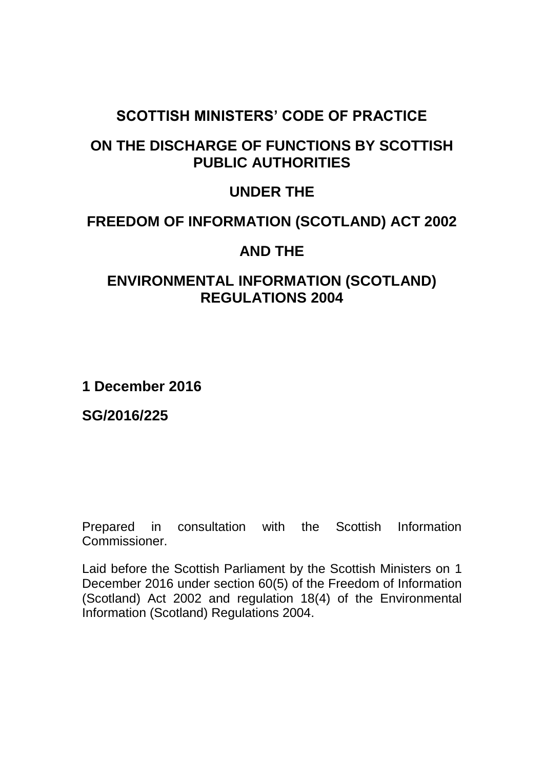# **SCOTTISH MINISTERS' CODE OF PRACTICE**

# **ON THE DISCHARGE OF FUNCTIONS BY SCOTTISH PUBLIC AUTHORITIES**

# **UNDER THE**

# **FREEDOM OF INFORMATION (SCOTLAND) ACT 2002**

# **AND THE**

# **ENVIRONMENTAL INFORMATION (SCOTLAND) REGULATIONS 2004**

**1 December 2016**

**SG/2016/225**

Prepared in consultation with the Scottish Information Commissioner.

Laid before the Scottish Parliament by the Scottish Ministers on 1 December 2016 under section 60(5) of the Freedom of Information (Scotland) Act 2002 and regulation 18(4) of the Environmental Information (Scotland) Regulations 2004.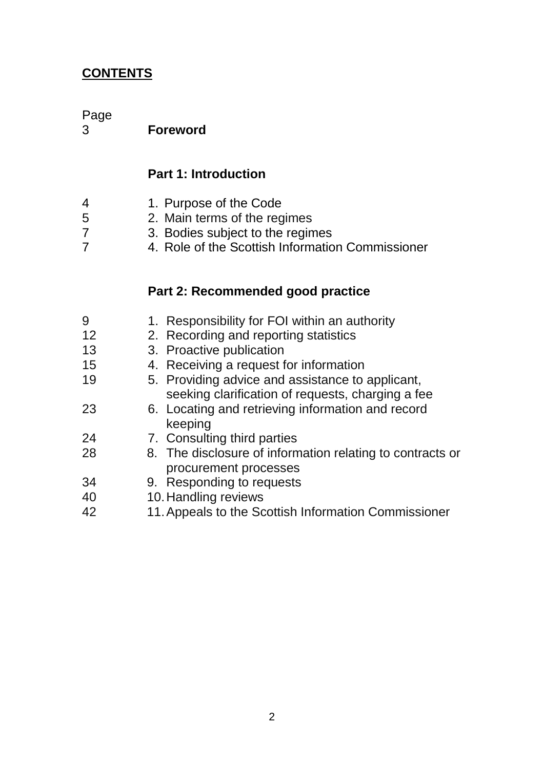# **CONTENTS**

# Page 3 **[Foreword](#page-2-0)**

# **Part 1: Introduction**

- 4 1. [Purpose of the Code](#page-3-0)
- 5 2. [Main terms of the regimes](#page-4-0)
- 7 3. [Bodies subject to the regimes](#page-6-0)
- 7 4. [Role of the Scottish Information Commissioner](#page-6-1)

# **Part 2: Recommended good practice**

- 9 1. [Responsibility for FOI within an authority](#page-8-0)
- 12 2. [Recording and reporting statistics](#page-11-0)
- 13 3. [Proactive publication](#page-12-0)
- 15 4. [Receiving a request for information](#page-14-0)
- 19 5. [Providing advice and assistance to applicant,](#page-18-0)  [seeking clarification of requests, charging a fee](#page-18-0)
- 23 6. [Locating and retrieving information and record](#page-22-0)  [keeping](#page-22-0)
- 24 7. [Consulting third parties](#page-22-1)
- 28 8. [The disclosure of information relating to contracts or](#page-27-0)  [procurement processes](#page-27-0)
- 34 9. [Responding to requests](#page-33-0)
- 40 [10.Handling reviews](#page-39-0)
- 42 [11.Appeals to the Scottish Information Commissioner](#page-41-0)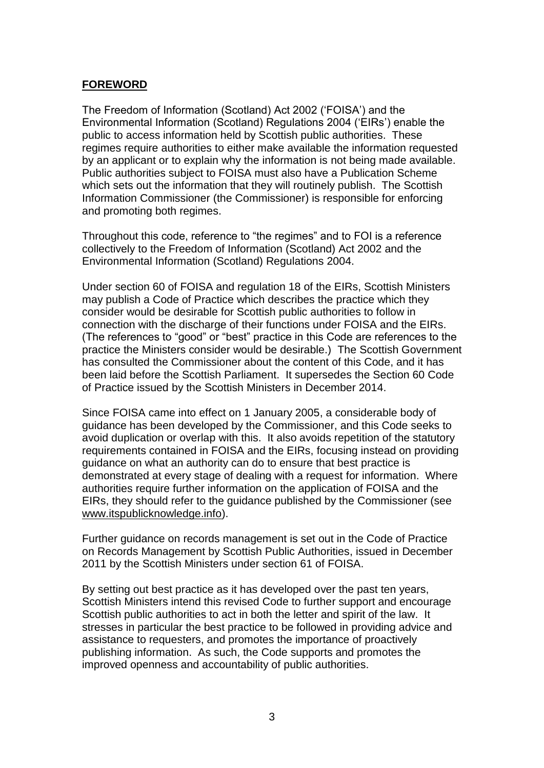### <span id="page-2-0"></span>**FOREWORD**

The Freedom of Information (Scotland) Act 2002 ('FOISA') and the Environmental Information (Scotland) Regulations 2004 ('EIRs') enable the public to access information held by Scottish public authorities. These regimes require authorities to either make available the information requested by an applicant or to explain why the information is not being made available. Public authorities subject to FOISA must also have a Publication Scheme which sets out the information that they will routinely publish. The Scottish Information Commissioner (the Commissioner) is responsible for enforcing and promoting both regimes.

Throughout this code, reference to "the regimes" and to FOI is a reference collectively to the Freedom of Information (Scotland) Act 2002 and the Environmental Information (Scotland) Regulations 2004.

Under section 60 of FOISA and regulation 18 of the EIRs, Scottish Ministers may publish a Code of Practice which describes the practice which they consider would be desirable for Scottish public authorities to follow in connection with the discharge of their functions under FOISA and the EIRs. (The references to "good" or "best" practice in this Code are references to the practice the Ministers consider would be desirable.) The Scottish Government has consulted the Commissioner about the content of this Code, and it has been laid before the Scottish Parliament. It supersedes the Section 60 Code of Practice issued by the Scottish Ministers in December 2014.

Since FOISA came into effect on 1 January 2005, a considerable body of guidance has been developed by the Commissioner, and this Code seeks to avoid duplication or overlap with this. It also avoids repetition of the statutory requirements contained in FOISA and the EIRs, focusing instead on providing guidance on what an authority can do to ensure that best practice is demonstrated at every stage of dealing with a request for information. Where authorities require further information on the application of FOISA and the EIRs, they should refer to the guidance published by the Commissioner (see [www.itspublicknowledge.info\)](http://www.itspublicknowledge.info/).

Further guidance on records management is set out in the Code of Practice on Records Management by Scottish Public Authorities, issued in December 2011 by the Scottish Ministers under section 61 of FOISA.

By setting out best practice as it has developed over the past ten years, Scottish Ministers intend this revised Code to further support and encourage Scottish public authorities to act in both the letter and spirit of the law. It stresses in particular the best practice to be followed in providing advice and assistance to requesters, and promotes the importance of proactively publishing information. As such, the Code supports and promotes the improved openness and accountability of public authorities.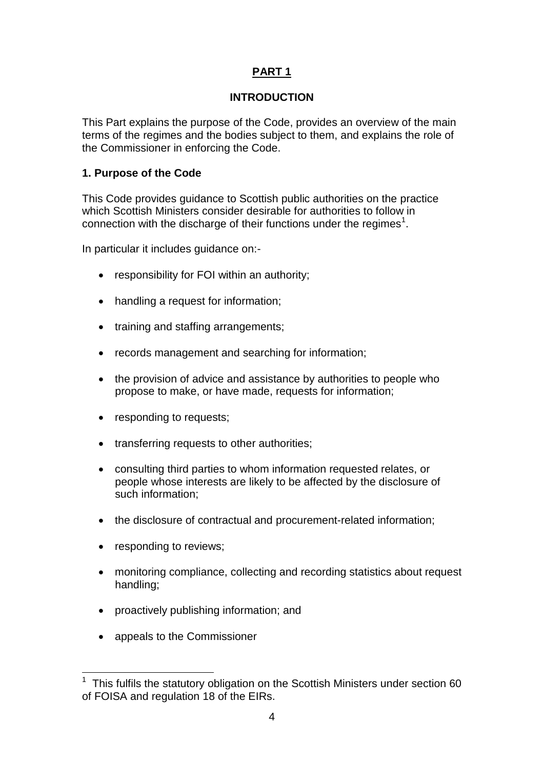# **PART 1**

### **INTRODUCTION**

This Part explains the purpose of the Code, provides an overview of the main terms of the regimes and the bodies subject to them, and explains the role of the Commissioner in enforcing the Code.

### <span id="page-3-0"></span>**1. Purpose of the Code**

This Code provides guidance to Scottish public authorities on the practice which Scottish Ministers consider desirable for authorities to follow in connection with the discharge of their functions under the regimes<sup>1</sup>.

In particular it includes guidance on:-

- responsibility for FOI within an authority;
- handling a request for information;
- training and staffing arrangements;
- records management and searching for information;
- the provision of advice and assistance by authorities to people who propose to make, or have made, requests for information;
- responding to requests;
- transferring requests to other authorities;
- consulting third parties to whom information requested relates, or people whose interests are likely to be affected by the disclosure of such information;
- the disclosure of contractual and procurement-related information;
- responding to reviews;
- monitoring compliance, collecting and recording statistics about request handling;
- proactively publishing information; and
- appeals to the Commissioner

 $1$  This fulfils the statutory obligation on the Scottish Ministers under section 60 of FOISA and regulation 18 of the EIRs.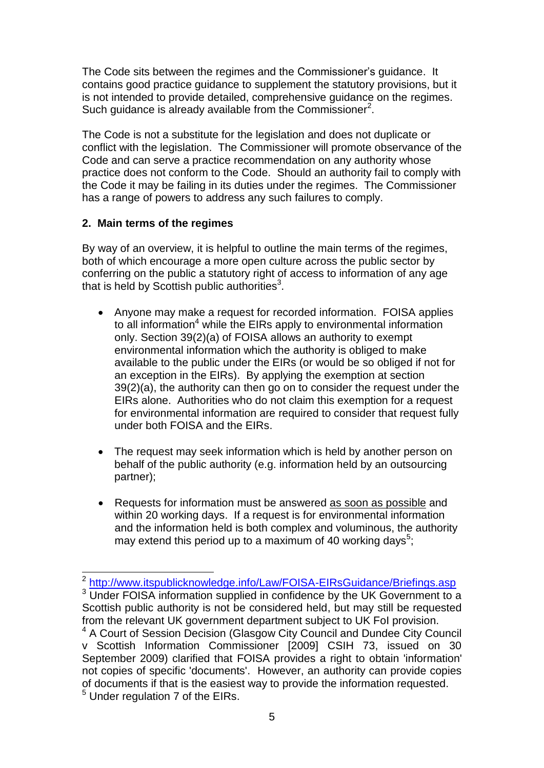The Code sits between the regimes and the Commissioner's guidance. It contains good practice guidance to supplement the statutory provisions, but it is not intended to provide detailed, comprehensive guidance on the regimes. Such guidance is already available from the Commissioner $^2$ .

The Code is not a substitute for the legislation and does not duplicate or conflict with the legislation. The Commissioner will promote observance of the Code and can serve a practice recommendation on any authority whose practice does not conform to the Code. Should an authority fail to comply with the Code it may be failing in its duties under the regimes. The Commissioner has a range of powers to address any such failures to comply.

## <span id="page-4-0"></span>**2. Main terms of the regimes**

By way of an overview, it is helpful to outline the main terms of the regimes, both of which encourage a more open culture across the public sector by conferring on the public a statutory right of access to information of any age that is held by Scottish public authorities $3$ .

- Anyone may make a request for recorded information. FOISA applies to all information<sup>4</sup> while the EIRs apply to environmental information only. Section 39(2)(a) of FOISA allows an authority to exempt environmental information which the authority is obliged to make available to the public under the EIRs (or would be so obliged if not for an exception in the EIRs). By applying the exemption at section 39(2)(a), the authority can then go on to consider the request under the EIRs alone. Authorities who do not claim this exemption for a request for environmental information are required to consider that request fully under both FOISA and the EIRs.
- The request may seek information which is held by another person on behalf of the public authority (e.g. information held by an outsourcing partner);
- Requests for information must be answered as soon as possible and within 20 working days. If a request is for environmental information and the information held is both complex and voluminous, the authority may extend this period up to a maximum of 40 working days<sup>5</sup>;

 2 <http://www.itspublicknowledge.info/Law/FOISA-EIRsGuidance/Briefings.asp>

<sup>&</sup>lt;sup>3</sup> Under FOISA information supplied in confidence by the UK Government to a Scottish public authority is not be considered held, but may still be requested from the relevant UK government department subject to UK FoI provision.

<sup>&</sup>lt;sup>4</sup> A Court of Session Decision (Glasgow City Council and Dundee City Council v Scottish Information Commissioner [2009] CSIH 73, issued on 30 September 2009) clarified that FOISA provides a right to obtain 'information' not copies of specific 'documents'. However, an authority can provide copies of documents if that is the easiest way to provide the information requested. <sup>5</sup> Under regulation 7 of the EIRs.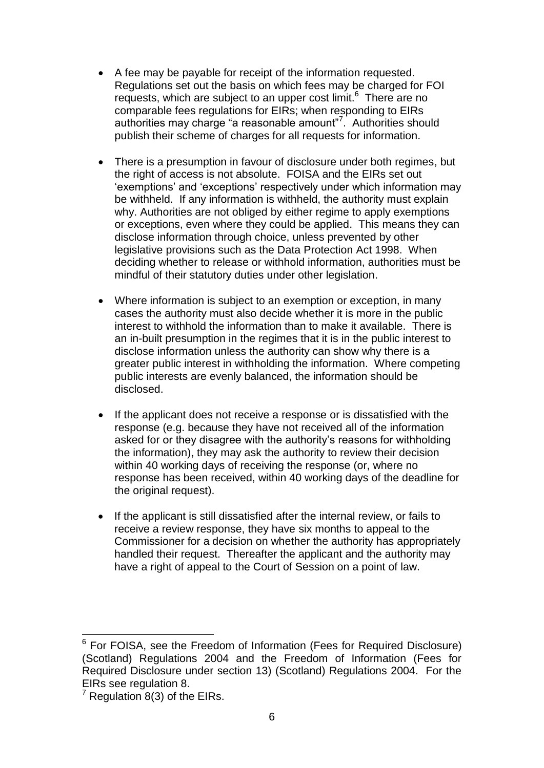- A fee may be payable for receipt of the information requested. Regulations set out the basis on which fees may be charged for FOI requests, which are subject to an upper cost limit.<sup>6</sup> There are no comparable fees regulations for EIRs; when responding to EIRs authorities may charge "a reasonable amount"<sup>7</sup>. Authorities should publish their scheme of charges for all requests for information.
- There is a presumption in favour of disclosure under both regimes, but the right of access is not absolute. FOISA and the EIRs set out 'exemptions' and 'exceptions' respectively under which information may be withheld. If any information is withheld, the authority must explain why. Authorities are not obliged by either regime to apply exemptions or exceptions, even where they could be applied. This means they can disclose information through choice, unless prevented by other legislative provisions such as the Data Protection Act 1998. When deciding whether to release or withhold information, authorities must be mindful of their statutory duties under other legislation.
- Where information is subject to an exemption or exception, in many cases the authority must also decide whether it is more in the public interest to withhold the information than to make it available. There is an in-built presumption in the regimes that it is in the public interest to disclose information unless the authority can show why there is a greater public interest in withholding the information. Where competing public interests are evenly balanced, the information should be disclosed.
- If the applicant does not receive a response or is dissatisfied with the response (e.g. because they have not received all of the information asked for or they disagree with the authority's reasons for withholding the information), they may ask the authority to review their decision within 40 working days of receiving the response (or, where no response has been received, within 40 working days of the deadline for the original request).
- If the applicant is still dissatisfied after the internal review, or fails to receive a review response, they have six months to appeal to the Commissioner for a decision on whether the authority has appropriately handled their request. Thereafter the applicant and the authority may have a right of appeal to the Court of Session on a point of law.

 $\frac{1}{6}$ For FOISA, see the Freedom of Information (Fees for Required Disclosure) (Scotland) Regulations 2004 and the Freedom of Information (Fees for Required Disclosure under section 13) (Scotland) Regulations 2004. For the EIRs see regulation 8.

 $7$  Regulation 8(3) of the EIRs.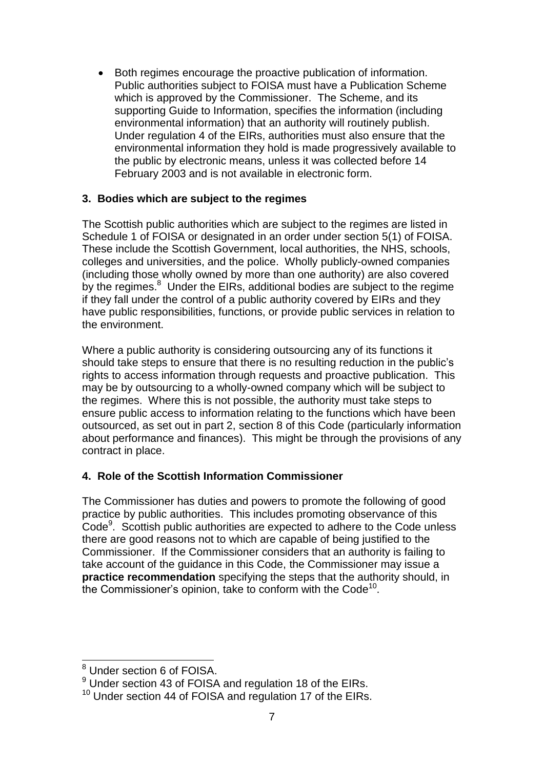• Both regimes encourage the proactive publication of information. Public authorities subject to FOISA must have a Publication Scheme which is approved by the Commissioner. The Scheme, and its supporting Guide to Information, specifies the information (including environmental information) that an authority will routinely publish. Under regulation 4 of the EIRs, authorities must also ensure that the environmental information they hold is made progressively available to the public by electronic means, unless it was collected before 14 February 2003 and is not available in electronic form.

### <span id="page-6-0"></span>**3. Bodies which are subject to the regimes**

The Scottish public authorities which are subject to the regimes are listed in Schedule 1 of FOISA or designated in an order under section 5(1) of FOISA. These include the Scottish Government, local authorities, the NHS, schools, colleges and universities, and the police. Wholly publicly-owned companies (including those wholly owned by more than one authority) are also covered by the regimes.<sup>8</sup> Under the EIRs, additional bodies are subject to the regime if they fall under the control of a public authority covered by EIRs and they have public responsibilities, functions, or provide public services in relation to the environment.

Where a public authority is considering outsourcing any of its functions it should take steps to ensure that there is no resulting reduction in the public's rights to access information through requests and proactive publication. This may be by outsourcing to a wholly-owned company which will be subject to the regimes. Where this is not possible, the authority must take steps to ensure public access to information relating to the functions which have been outsourced, as set out in part 2, section 8 of this Code (particularly information about performance and finances). This might be through the provisions of any contract in place.

## <span id="page-6-1"></span>**4. Role of the Scottish Information Commissioner**

The Commissioner has duties and powers to promote the following of good practice by public authorities. This includes promoting observance of this Code<sup>9</sup>. Scottish public authorities are expected to adhere to the Code unless there are good reasons not to which are capable of being justified to the Commissioner. If the Commissioner considers that an authority is failing to take account of the guidance in this Code, the Commissioner may issue a **practice recommendation** specifying the steps that the authority should, in the Commissioner's opinion, take to conform with the Code<sup>10</sup>.

<sup>8</sup> Under section 6 of FOISA.

<sup>&</sup>lt;sup>9</sup> Under section 43 of FOISA and regulation 18 of the EIRs.

<sup>&</sup>lt;sup>10</sup> Under section 44 of FOISA and regulation 17 of the EIRs.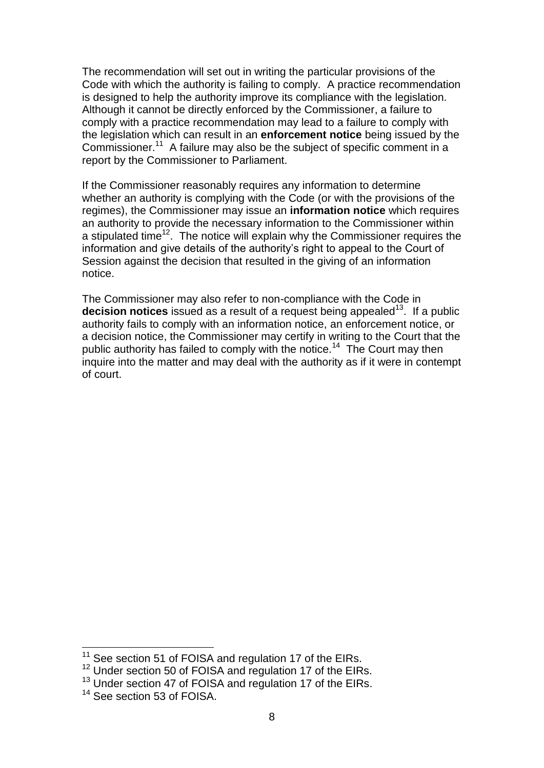The recommendation will set out in writing the particular provisions of the Code with which the authority is failing to comply. A practice recommendation is designed to help the authority improve its compliance with the legislation. Although it cannot be directly enforced by the Commissioner, a failure to comply with a practice recommendation may lead to a failure to comply with the legislation which can result in an **enforcement notice** being issued by the Commissioner.<sup>11</sup> A failure may also be the subject of specific comment in a report by the Commissioner to Parliament.

If the Commissioner reasonably requires any information to determine whether an authority is complying with the Code (or with the provisions of the regimes), the Commissioner may issue an **information notice** which requires an authority to provide the necessary information to the Commissioner within a stipulated time<sup>12</sup>. The notice will explain why the Commissioner requires the information and give details of the authority's right to appeal to the Court of Session against the decision that resulted in the giving of an information notice.

The Commissioner may also refer to non-compliance with the Code in decision notices issued as a result of a request being appealed<sup>13</sup>. If a public authority fails to comply with an information notice, an enforcement notice, or a decision notice, the Commissioner may certify in writing to the Court that the public authority has failed to comply with the notice.<sup>14</sup> The Court may then inquire into the matter and may deal with the authority as if it were in contempt of court.

 $11$  See section 51 of FOISA and regulation 17 of the EIRs.

<sup>&</sup>lt;sup>12</sup> Under section 50 of FOISA and regulation 17 of the EIRs.

<sup>&</sup>lt;sup>13</sup> Under section 47 of FOISA and regulation 17 of the EIRs.

<sup>&</sup>lt;sup>14</sup> See section 53 of FOISA.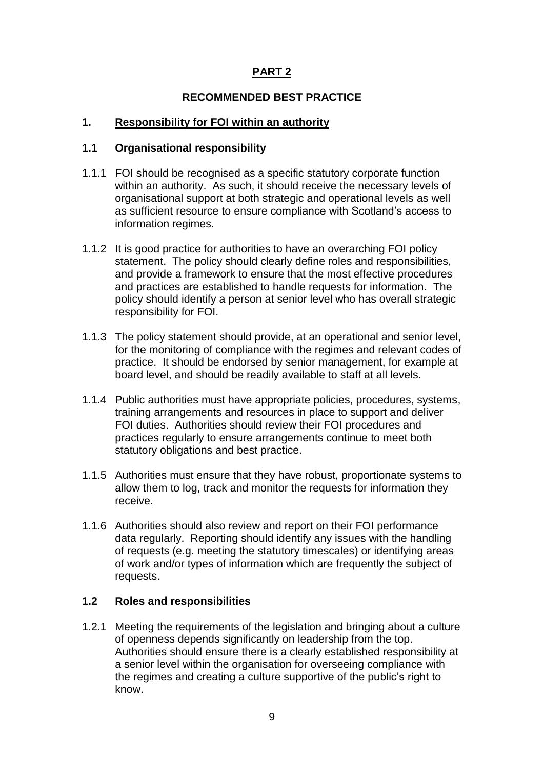# **PART 2**

## **RECOMMENDED BEST PRACTICE**

# <span id="page-8-0"></span>**1. Responsibility for FOI within an authority**

## **1.1 Organisational responsibility**

- 1.1.1 FOI should be recognised as a specific statutory corporate function within an authority. As such, it should receive the necessary levels of organisational support at both strategic and operational levels as well as sufficient resource to ensure compliance with Scotland's access to information regimes.
- 1.1.2 It is good practice for authorities to have an overarching FOI policy statement. The policy should clearly define roles and responsibilities, and provide a framework to ensure that the most effective procedures and practices are established to handle requests for information. The policy should identify a person at senior level who has overall strategic responsibility for FOI.
- 1.1.3 The policy statement should provide, at an operational and senior level, for the monitoring of compliance with the regimes and relevant codes of practice. It should be endorsed by senior management, for example at board level, and should be readily available to staff at all levels.
- 1.1.4 Public authorities must have appropriate policies, procedures, systems, training arrangements and resources in place to support and deliver FOI duties. Authorities should review their FOI procedures and practices regularly to ensure arrangements continue to meet both statutory obligations and best practice.
- 1.1.5 Authorities must ensure that they have robust, proportionate systems to allow them to log, track and monitor the requests for information they receive.
- 1.1.6 Authorities should also review and report on their FOI performance data regularly. Reporting should identify any issues with the handling of requests (e.g. meeting the statutory timescales) or identifying areas of work and/or types of information which are frequently the subject of requests.

## **1.2 Roles and responsibilities**

1.2.1 Meeting the requirements of the legislation and bringing about a culture of openness depends significantly on leadership from the top. Authorities should ensure there is a clearly established responsibility at a senior level within the organisation for overseeing compliance with the regimes and creating a culture supportive of the public's right to know.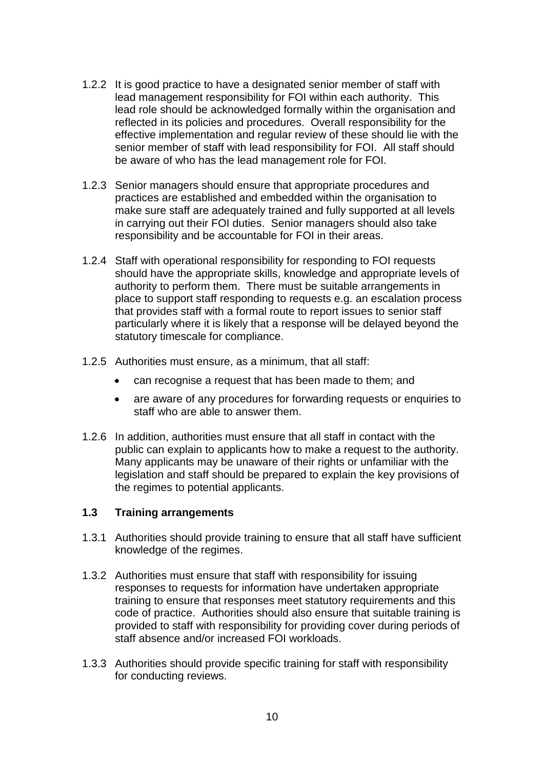- 1.2.2 It is good practice to have a designated senior member of staff with lead management responsibility for FOI within each authority. This lead role should be acknowledged formally within the organisation and reflected in its policies and procedures. Overall responsibility for the effective implementation and regular review of these should lie with the senior member of staff with lead responsibility for FOI. All staff should be aware of who has the lead management role for FOI.
- 1.2.3 Senior managers should ensure that appropriate procedures and practices are established and embedded within the organisation to make sure staff are adequately trained and fully supported at all levels in carrying out their FOI duties. Senior managers should also take responsibility and be accountable for FOI in their areas.
- 1.2.4 Staff with operational responsibility for responding to FOI requests should have the appropriate skills, knowledge and appropriate levels of authority to perform them. There must be suitable arrangements in place to support staff responding to requests e.g. an escalation process that provides staff with a formal route to report issues to senior staff particularly where it is likely that a response will be delayed beyond the statutory timescale for compliance.
- 1.2.5 Authorities must ensure, as a minimum, that all staff:
	- can recognise a request that has been made to them; and
	- are aware of any procedures for forwarding requests or enquiries to staff who are able to answer them.
- 1.2.6 In addition, authorities must ensure that all staff in contact with the public can explain to applicants how to make a request to the authority. Many applicants may be unaware of their rights or unfamiliar with the legislation and staff should be prepared to explain the key provisions of the regimes to potential applicants.

#### **1.3 Training arrangements**

- 1.3.1 Authorities should provide training to ensure that all staff have sufficient knowledge of the regimes.
- 1.3.2 Authorities must ensure that staff with responsibility for issuing responses to requests for information have undertaken appropriate training to ensure that responses meet statutory requirements and this code of practice. Authorities should also ensure that suitable training is provided to staff with responsibility for providing cover during periods of staff absence and/or increased FOI workloads.
- 1.3.3 Authorities should provide specific training for staff with responsibility for conducting reviews.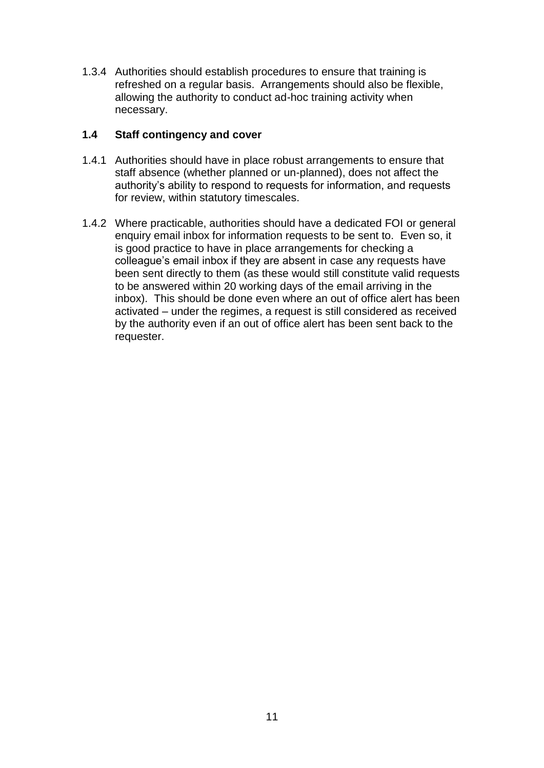1.3.4 Authorities should establish procedures to ensure that training is refreshed on a regular basis. Arrangements should also be flexible, allowing the authority to conduct ad-hoc training activity when necessary.

### **1.4 Staff contingency and cover**

- 1.4.1 Authorities should have in place robust arrangements to ensure that staff absence (whether planned or un-planned), does not affect the authority's ability to respond to requests for information, and requests for review, within statutory timescales.
- 1.4.2 Where practicable, authorities should have a dedicated FOI or general enquiry email inbox for information requests to be sent to. Even so, it is good practice to have in place arrangements for checking a colleague's email inbox if they are absent in case any requests have been sent directly to them (as these would still constitute valid requests to be answered within 20 working days of the email arriving in the inbox). This should be done even where an out of office alert has been activated – under the regimes, a request is still considered as received by the authority even if an out of office alert has been sent back to the requester.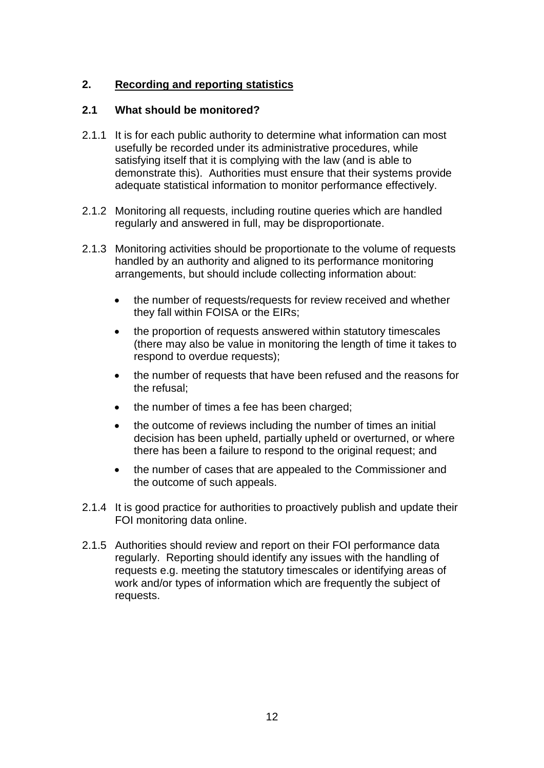# <span id="page-11-0"></span>**2. Recording and reporting statistics**

### **2.1 What should be monitored?**

- 2.1.1 It is for each public authority to determine what information can most usefully be recorded under its administrative procedures, while satisfying itself that it is complying with the law (and is able to demonstrate this). Authorities must ensure that their systems provide adequate statistical information to monitor performance effectively.
- 2.1.2 Monitoring all requests, including routine queries which are handled regularly and answered in full, may be disproportionate.
- 2.1.3 Monitoring activities should be proportionate to the volume of requests handled by an authority and aligned to its performance monitoring arrangements, but should include collecting information about:
	- the number of requests/requests for review received and whether they fall within FOISA or the EIRs;
	- the proportion of requests answered within statutory timescales (there may also be value in monitoring the length of time it takes to respond to overdue requests);
	- the number of requests that have been refused and the reasons for the refusal;
	- the number of times a fee has been charged;
	- the outcome of reviews including the number of times an initial decision has been upheld, partially upheld or overturned, or where there has been a failure to respond to the original request; and
	- the number of cases that are appealed to the Commissioner and the outcome of such appeals.
- 2.1.4 It is good practice for authorities to proactively publish and update their FOI monitoring data online.
- 2.1.5 Authorities should review and report on their FOI performance data regularly. Reporting should identify any issues with the handling of requests e.g. meeting the statutory timescales or identifying areas of work and/or types of information which are frequently the subject of requests.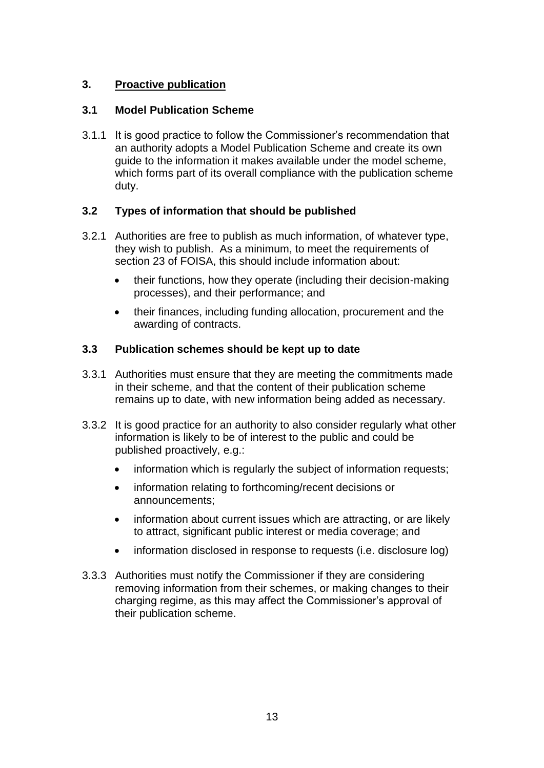# <span id="page-12-0"></span>**3. Proactive publication**

### **3.1 Model Publication Scheme**

3.1.1 It is good practice to follow the Commissioner's recommendation that an authority adopts a Model Publication Scheme and create its own guide to the information it makes available under the model scheme, which forms part of its overall compliance with the publication scheme duty.

# **3.2 Types of information that should be published**

- 3.2.1 Authorities are free to publish as much information, of whatever type, they wish to publish. As a minimum, to meet the requirements of section 23 of FOISA, this should include information about:
	- their functions, how they operate (including their decision-making processes), and their performance; and
	- their finances, including funding allocation, procurement and the awarding of contracts.

## **3.3 Publication schemes should be kept up to date**

- 3.3.1 Authorities must ensure that they are meeting the commitments made in their scheme, and that the content of their publication scheme remains up to date, with new information being added as necessary.
- 3.3.2 It is good practice for an authority to also consider regularly what other information is likely to be of interest to the public and could be published proactively, e.g.:
	- information which is regularly the subject of information requests;
	- information relating to forthcoming/recent decisions or announcements;
	- information about current issues which are attracting, or are likely to attract, significant public interest or media coverage; and
	- information disclosed in response to requests (i.e. disclosure log)
- 3.3.3 Authorities must notify the Commissioner if they are considering removing information from their schemes, or making changes to their charging regime, as this may affect the Commissioner's approval of their publication scheme.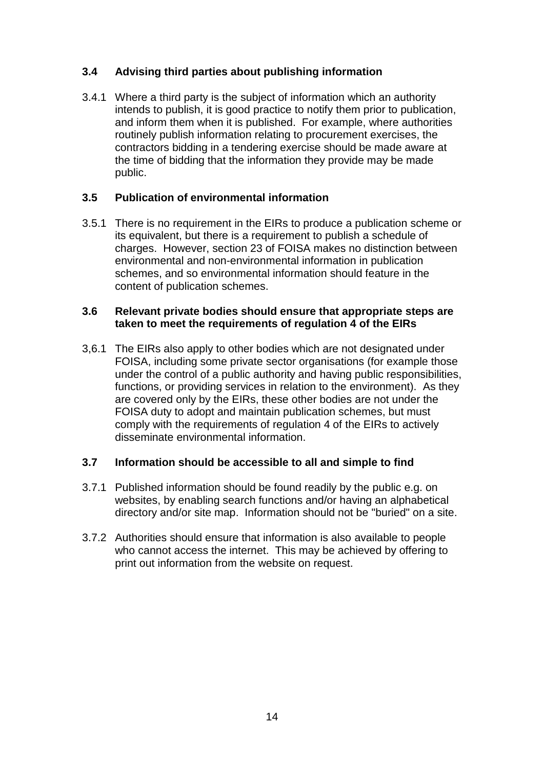# **3.4 Advising third parties about publishing information**

3.4.1 Where a third party is the subject of information which an authority intends to publish, it is good practice to notify them prior to publication, and inform them when it is published. For example, where authorities routinely publish information relating to procurement exercises, the contractors bidding in a tendering exercise should be made aware at the time of bidding that the information they provide may be made public.

# **3.5 Publication of environmental information**

3.5.1 There is no requirement in the EIRs to produce a publication scheme or its equivalent, but there is a requirement to publish a schedule of charges. However, section 23 of FOISA makes no distinction between environmental and non-environmental information in publication schemes, and so environmental information should feature in the content of publication schemes.

### **3.6 Relevant private bodies should ensure that appropriate steps are taken to meet the requirements of regulation 4 of the EIRs**

3,6.1 The EIRs also apply to other bodies which are not designated under FOISA, including some private sector organisations (for example those under the control of a public authority and having public responsibilities, functions, or providing services in relation to the environment). As they are covered only by the EIRs, these other bodies are not under the FOISA duty to adopt and maintain publication schemes, but must comply with the requirements of regulation 4 of the EIRs to actively disseminate environmental information.

## **3.7 Information should be accessible to all and simple to find**

- 3.7.1 Published information should be found readily by the public e.g. on websites, by enabling search functions and/or having an alphabetical directory and/or site map. Information should not be "buried" on a site.
- 3.7.2 Authorities should ensure that information is also available to people who cannot access the internet. This may be achieved by offering to print out information from the website on request.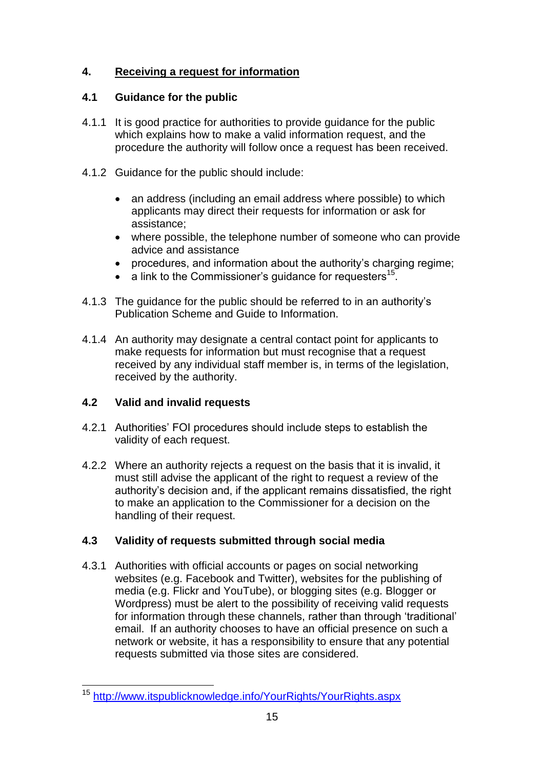# <span id="page-14-0"></span>**4. Receiving a request for information**

# **4.1 Guidance for the public**

- 4.1.1 It is good practice for authorities to provide guidance for the public which explains how to make a valid information request, and the procedure the authority will follow once a request has been received.
- 4.1.2 Guidance for the public should include:
	- an address (including an email address where possible) to which applicants may direct their requests for information or ask for assistance;
	- where possible, the telephone number of someone who can provide advice and assistance
	- procedures, and information about the authority's charging regime;
	- $\bullet$  a link to the Commissioner's guidance for requesters<sup>15</sup>.
- 4.1.3 The guidance for the public should be referred to in an authority's Publication Scheme and Guide to Information.
- 4.1.4 An authority may designate a central contact point for applicants to make requests for information but must recognise that a request received by any individual staff member is, in terms of the legislation, received by the authority.

# **4.2 Valid and invalid requests**

- 4.2.1 Authorities' FOI procedures should include steps to establish the validity of each request.
- 4.2.2 Where an authority rejects a request on the basis that it is invalid, it must still advise the applicant of the right to request a review of the authority's decision and, if the applicant remains dissatisfied, the right to make an application to the Commissioner for a decision on the handling of their request.

# **4.3 Validity of requests submitted through social media**

4.3.1 Authorities with official accounts or pages on social networking websites (e.g. Facebook and Twitter), websites for the publishing of media (e.g. Flickr and YouTube), or blogging sites (e.g. Blogger or Wordpress) must be alert to the possibility of receiving valid requests for information through these channels, rather than through 'traditional' email. If an authority chooses to have an official presence on such a network or website, it has a responsibility to ensure that any potential requests submitted via those sites are considered.

 $\overline{a}$ <sup>15</sup> <http://www.itspublicknowledge.info/YourRights/YourRights.aspx>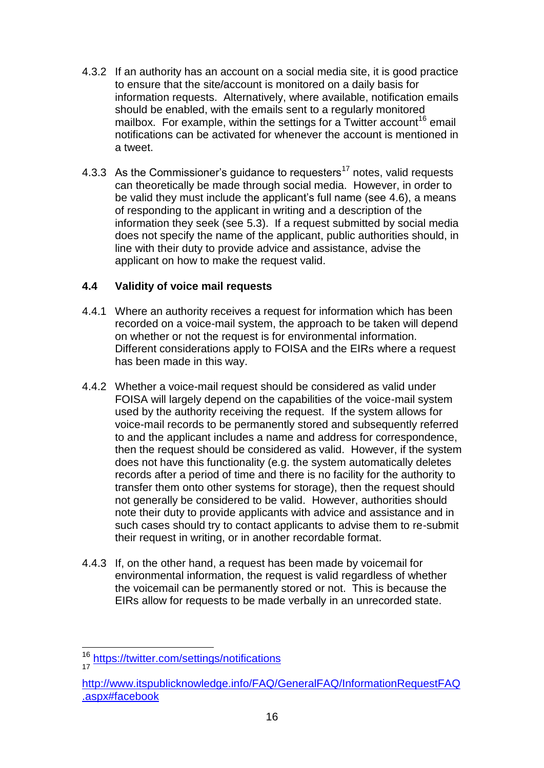- 4.3.2 If an authority has an account on a social media site, it is good practice to ensure that the site/account is monitored on a daily basis for information requests. Alternatively, where available, notification emails should be enabled, with the emails sent to a regularly monitored mailbox. For example, within the settings for a Twitter account<sup>16</sup> email notifications can be activated for whenever the account is mentioned in a tweet.
- 4.3.3 As the Commissioner's guidance to requesters<sup>17</sup> notes, valid requests can theoretically be made through social media. However, in order to be valid they must include the applicant's full name (see 4.6), a means of responding to the applicant in writing and a description of the information they seek (see 5.3). If a request submitted by social media does not specify the name of the applicant, public authorities should, in line with their duty to provide advice and assistance, advise the applicant on how to make the request valid.

## **4.4 Validity of voice mail requests**

- 4.4.1 Where an authority receives a request for information which has been recorded on a voice-mail system, the approach to be taken will depend on whether or not the request is for environmental information. Different considerations apply to FOISA and the EIRs where a request has been made in this way.
- 4.4.2 Whether a voice-mail request should be considered as valid under FOISA will largely depend on the capabilities of the voice-mail system used by the authority receiving the request. If the system allows for voice-mail records to be permanently stored and subsequently referred to and the applicant includes a name and address for correspondence, then the request should be considered as valid. However, if the system does not have this functionality (e.g. the system automatically deletes records after a period of time and there is no facility for the authority to transfer them onto other systems for storage), then the request should not generally be considered to be valid. However, authorities should note their duty to provide applicants with advice and assistance and in such cases should try to contact applicants to advise them to re-submit their request in writing, or in another recordable format.
- 4.4.3 If, on the other hand, a request has been made by voicemail for environmental information, the request is valid regardless of whether the voicemail can be permanently stored or not. This is because the EIRs allow for requests to be made verbally in an unrecorded state.

 <sup>16</sup> <https://twitter.com/settings/notifications> 17

[http://www.itspublicknowledge.info/FAQ/GeneralFAQ/InformationRequestFAQ](http://www.itspublicknowledge.info/FAQ/GeneralFAQ/InformationRequestFAQ.aspx#facebook) [.aspx#facebook](http://www.itspublicknowledge.info/FAQ/GeneralFAQ/InformationRequestFAQ.aspx#facebook)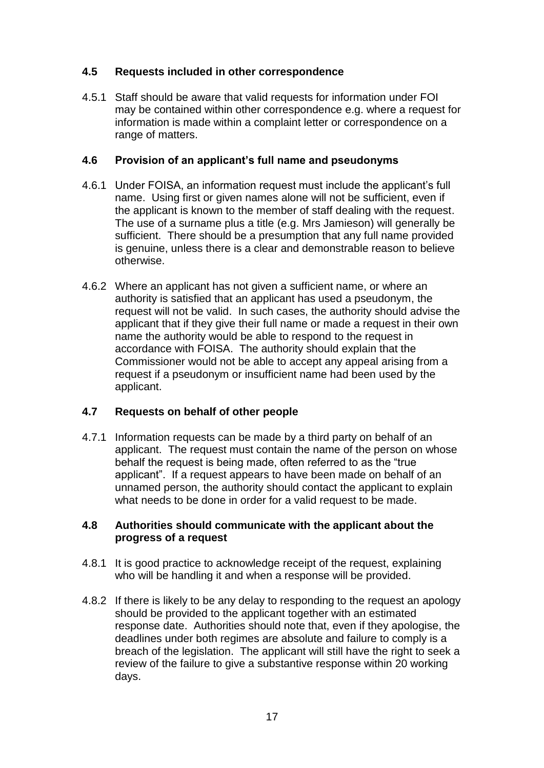## **4.5 Requests included in other correspondence**

4.5.1 Staff should be aware that valid requests for information under FOI may be contained within other correspondence e.g. where a request for information is made within a complaint letter or correspondence on a range of matters.

### **4.6 Provision of an applicant's full name and pseudonyms**

- 4.6.1 Under FOISA, an information request must include the applicant's full name. Using first or given names alone will not be sufficient, even if the applicant is known to the member of staff dealing with the request. The use of a surname plus a title (e.g. Mrs Jamieson) will generally be sufficient. There should be a presumption that any full name provided is genuine, unless there is a clear and demonstrable reason to believe otherwise.
- 4.6.2 Where an applicant has not given a sufficient name, or where an authority is satisfied that an applicant has used a pseudonym, the request will not be valid. In such cases, the authority should advise the applicant that if they give their full name or made a request in their own name the authority would be able to respond to the request in accordance with FOISA. The authority should explain that the Commissioner would not be able to accept any appeal arising from a request if a pseudonym or insufficient name had been used by the applicant.

## **4.7 Requests on behalf of other people**

4.7.1 Information requests can be made by a third party on behalf of an applicant. The request must contain the name of the person on whose behalf the request is being made, often referred to as the "true applicant". If a request appears to have been made on behalf of an unnamed person, the authority should contact the applicant to explain what needs to be done in order for a valid request to be made.

#### **4.8 Authorities should communicate with the applicant about the progress of a request**

- 4.8.1 It is good practice to acknowledge receipt of the request, explaining who will be handling it and when a response will be provided.
- 4.8.2 If there is likely to be any delay to responding to the request an apology should be provided to the applicant together with an estimated response date. Authorities should note that, even if they apologise, the deadlines under both regimes are absolute and failure to comply is a breach of the legislation. The applicant will still have the right to seek a review of the failure to give a substantive response within 20 working days.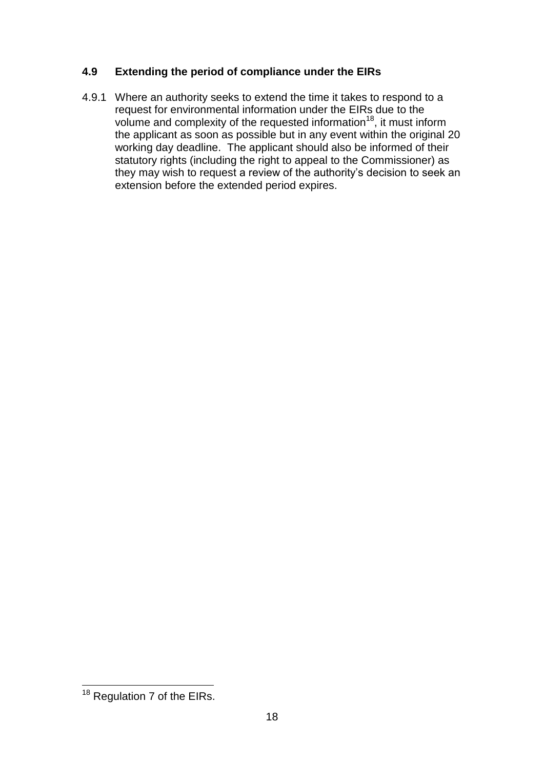# **4.9 Extending the period of compliance under the EIRs**

4.9.1 Where an authority seeks to extend the time it takes to respond to a request for environmental information under the EIRs due to the volume and complexity of the requested information<sup>18</sup>, it must inform the applicant as soon as possible but in any event within the original 20 working day deadline. The applicant should also be informed of their statutory rights (including the right to appeal to the Commissioner) as they may wish to request a review of the authority's decision to seek an extension before the extended period expires.

 $\overline{a}$ 

 $18$  Regulation 7 of the EIRs.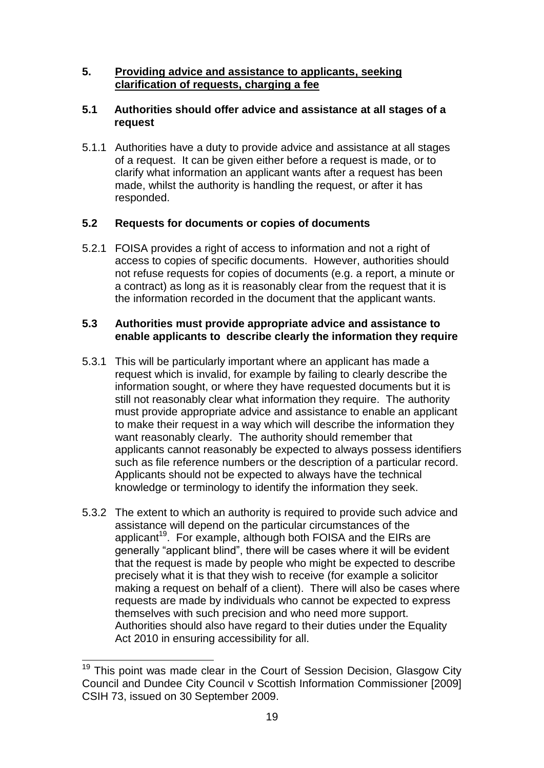### <span id="page-18-0"></span>**5. Providing advice and assistance to applicants, seeking clarification of requests, charging a fee**

### **5.1 Authorities should offer advice and assistance at all stages of a request**

5.1.1 Authorities have a duty to provide advice and assistance at all stages of a request. It can be given either before a request is made, or to clarify what information an applicant wants after a request has been made, whilst the authority is handling the request, or after it has responded.

## **5.2 Requests for documents or copies of documents**

5.2.1 FOISA provides a right of access to information and not a right of access to copies of specific documents. However, authorities should not refuse requests for copies of documents (e.g. a report, a minute or a contract) as long as it is reasonably clear from the request that it is the information recorded in the document that the applicant wants.

### **5.3 Authorities must provide appropriate advice and assistance to enable applicants to describe clearly the information they require**

- 5.3.1 This will be particularly important where an applicant has made a request which is invalid, for example by failing to clearly describe the information sought, or where they have requested documents but it is still not reasonably clear what information they require. The authority must provide appropriate advice and assistance to enable an applicant to make their request in a way which will describe the information they want reasonably clearly. The authority should remember that applicants cannot reasonably be expected to always possess identifiers such as file reference numbers or the description of a particular record. Applicants should not be expected to always have the technical knowledge or terminology to identify the information they seek.
- 5.3.2 The extent to which an authority is required to provide such advice and assistance will depend on the particular circumstances of the applicant<sup>19</sup>. For example, although both FOISA and the EIRs are generally "applicant blind", there will be cases where it will be evident that the request is made by people who might be expected to describe precisely what it is that they wish to receive (for example a solicitor making a request on behalf of a client). There will also be cases where requests are made by individuals who cannot be expected to express themselves with such precision and who need more support. Authorities should also have regard to their duties under the Equality Act 2010 in ensuring accessibility for all.

<sup>&</sup>lt;sup>19</sup> This point was made clear in the Court of Session Decision, Glasgow City Council and Dundee City Council v Scottish Information Commissioner [2009] CSIH 73, issued on 30 September 2009.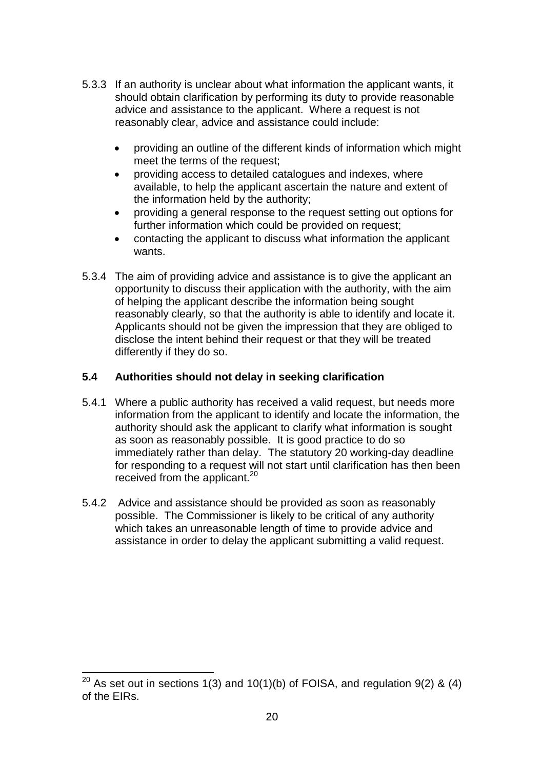- 5.3.3 If an authority is unclear about what information the applicant wants, it should obtain clarification by performing its duty to provide reasonable advice and assistance to the applicant. Where a request is not reasonably clear, advice and assistance could include:
	- providing an outline of the different kinds of information which might meet the terms of the request;
	- providing access to detailed catalogues and indexes, where available, to help the applicant ascertain the nature and extent of the information held by the authority;
	- providing a general response to the request setting out options for further information which could be provided on request;
	- contacting the applicant to discuss what information the applicant wants.
- 5.3.4 The aim of providing advice and assistance is to give the applicant an opportunity to discuss their application with the authority, with the aim of helping the applicant describe the information being sought reasonably clearly, so that the authority is able to identify and locate it. Applicants should not be given the impression that they are obliged to disclose the intent behind their request or that they will be treated differently if they do so.

## **5.4 Authorities should not delay in seeking clarification**

- 5.4.1 Where a public authority has received a valid request, but needs more information from the applicant to identify and locate the information, the authority should ask the applicant to clarify what information is sought as soon as reasonably possible. It is good practice to do so immediately rather than delay. The statutory 20 working-day deadline for responding to a request will not start until clarification has then been received from the applicant.<sup>20</sup>
- 5.4.2 Advice and assistance should be provided as soon as reasonably possible. The Commissioner is likely to be critical of any authority which takes an unreasonable length of time to provide advice and assistance in order to delay the applicant submitting a valid request.

<sup>&</sup>lt;sup>20</sup> As set out in sections 1(3) and 10(1)(b) of FOISA, and regulation 9(2) & (4) of the EIRs.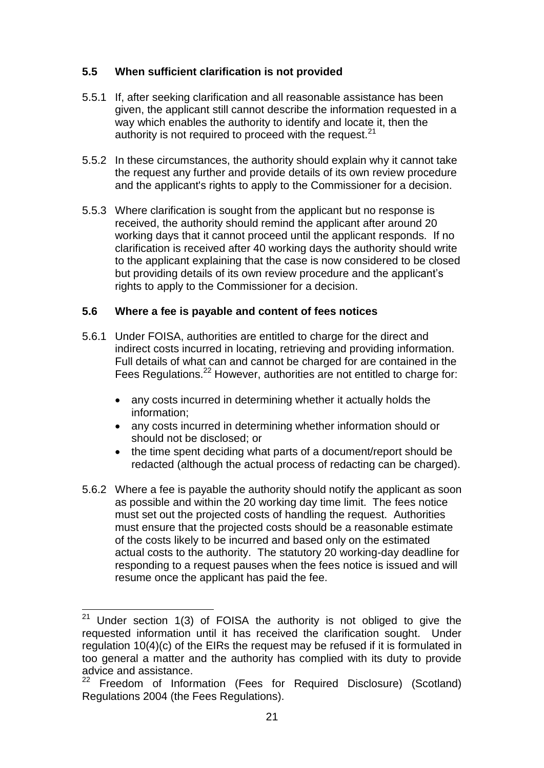### **5.5 When sufficient clarification is not provided**

- 5.5.1 If, after seeking clarification and all reasonable assistance has been given, the applicant still cannot describe the information requested in a way which enables the authority to identify and locate it, then the authority is not required to proceed with the request. $21$
- 5.5.2 In these circumstances, the authority should explain why it cannot take the request any further and provide details of its own review procedure and the applicant's rights to apply to the Commissioner for a decision.
- 5.5.3 Where clarification is sought from the applicant but no response is received, the authority should remind the applicant after around 20 working days that it cannot proceed until the applicant responds. If no clarification is received after 40 working days the authority should write to the applicant explaining that the case is now considered to be closed but providing details of its own review procedure and the applicant's rights to apply to the Commissioner for a decision.

#### **5.6 Where a fee is payable and content of fees notices**

- 5.6.1 Under FOISA, authorities are entitled to charge for the direct and indirect costs incurred in locating, retrieving and providing information. Full details of what can and cannot be charged for are contained in the Fees Regulations.<sup>22</sup> However, authorities are not entitled to charge for:
	- any costs incurred in determining whether it actually holds the information;
	- any costs incurred in determining whether information should or should not be disclosed; or
	- the time spent deciding what parts of a document/report should be redacted (although the actual process of redacting can be charged).
- 5.6.2 Where a fee is payable the authority should notify the applicant as soon as possible and within the 20 working day time limit. The fees notice must set out the projected costs of handling the request. Authorities must ensure that the projected costs should be a reasonable estimate of the costs likely to be incurred and based only on the estimated actual costs to the authority. The statutory 20 working-day deadline for responding to a request pauses when the fees notice is issued and will resume once the applicant has paid the fee.

 $\overline{a}$  $21$  Under section 1(3) of FOISA the authority is not obliged to give the requested information until it has received the clarification sought. Under regulation 10(4)(c) of the EIRs the request may be refused if it is formulated in too general a matter and the authority has complied with its duty to provide advice and assistance.

 $22$  Freedom of Information (Fees for Required Disclosure) (Scotland) Regulations 2004 (the Fees Regulations).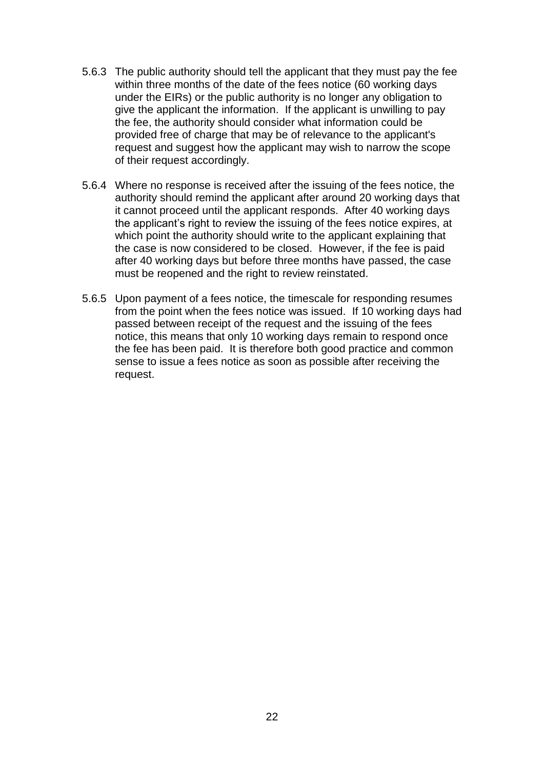- 5.6.3 The public authority should tell the applicant that they must pay the fee within three months of the date of the fees notice (60 working days under the EIRs) or the public authority is no longer any obligation to give the applicant the information. If the applicant is unwilling to pay the fee, the authority should consider what information could be provided free of charge that may be of relevance to the applicant's request and suggest how the applicant may wish to narrow the scope of their request accordingly.
- 5.6.4 Where no response is received after the issuing of the fees notice, the authority should remind the applicant after around 20 working days that it cannot proceed until the applicant responds. After 40 working days the applicant's right to review the issuing of the fees notice expires, at which point the authority should write to the applicant explaining that the case is now considered to be closed. However, if the fee is paid after 40 working days but before three months have passed, the case must be reopened and the right to review reinstated.
- 5.6.5 Upon payment of a fees notice, the timescale for responding resumes from the point when the fees notice was issued. If 10 working days had passed between receipt of the request and the issuing of the fees notice, this means that only 10 working days remain to respond once the fee has been paid. It is therefore both good practice and common sense to issue a fees notice as soon as possible after receiving the request.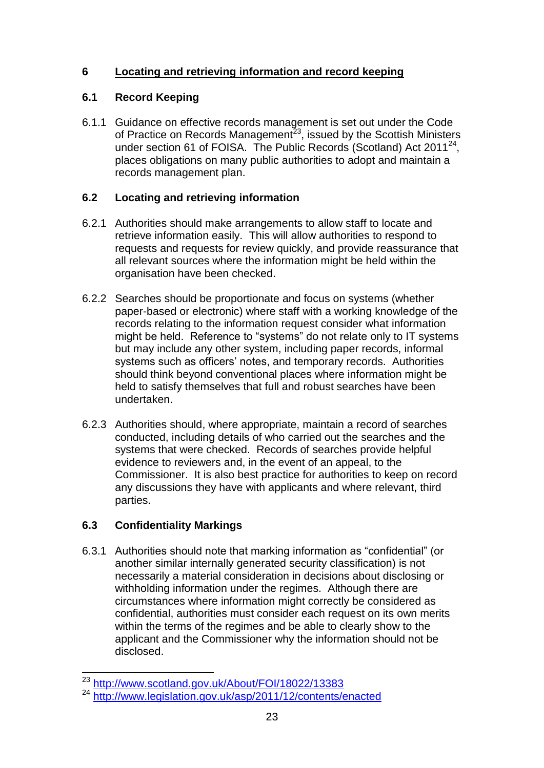# <span id="page-22-0"></span>**6 Locating and retrieving information and record keeping**

# **6.1 Record Keeping**

6.1.1 Guidance on effective records management is set out under the Code of Practice on Records Management<sup>23</sup>, issued by the Scottish Ministers under section 61 of FOISA. The Public Records (Scotland) Act 2011 $^{24}$ , places obligations on many public authorities to adopt and maintain a records management plan.

# **6.2 Locating and retrieving information**

- 6.2.1 Authorities should make arrangements to allow staff to locate and retrieve information easily. This will allow authorities to respond to requests and requests for review quickly, and provide reassurance that all relevant sources where the information might be held within the organisation have been checked.
- 6.2.2 Searches should be proportionate and focus on systems (whether paper-based or electronic) where staff with a working knowledge of the records relating to the information request consider what information might be held. Reference to "systems" do not relate only to IT systems but may include any other system, including paper records, informal systems such as officers' notes, and temporary records. Authorities should think beyond conventional places where information might be held to satisfy themselves that full and robust searches have been undertaken.
- 6.2.3 Authorities should, where appropriate, maintain a record of searches conducted, including details of who carried out the searches and the systems that were checked. Records of searches provide helpful evidence to reviewers and, in the event of an appeal, to the Commissioner. It is also best practice for authorities to keep on record any discussions they have with applicants and where relevant, third parties.

# **6.3 Confidentiality Markings**

<span id="page-22-1"></span>

6.3.1 Authorities should note that marking information as "confidential" (or another similar internally generated security classification) is not necessarily a material consideration in decisions about disclosing or withholding information under the regimes. Although there are circumstances where information might correctly be considered as confidential, authorities must consider each request on its own merits within the terms of the regimes and be able to clearly show to the applicant and the Commissioner why the information should not be disclosed.

<sup>&</sup>lt;sup>23</sup> <http://www.scotland.gov.uk/About/FOI/18022/13383>

<sup>24</sup> <http://www.legislation.gov.uk/asp/2011/12/contents/enacted>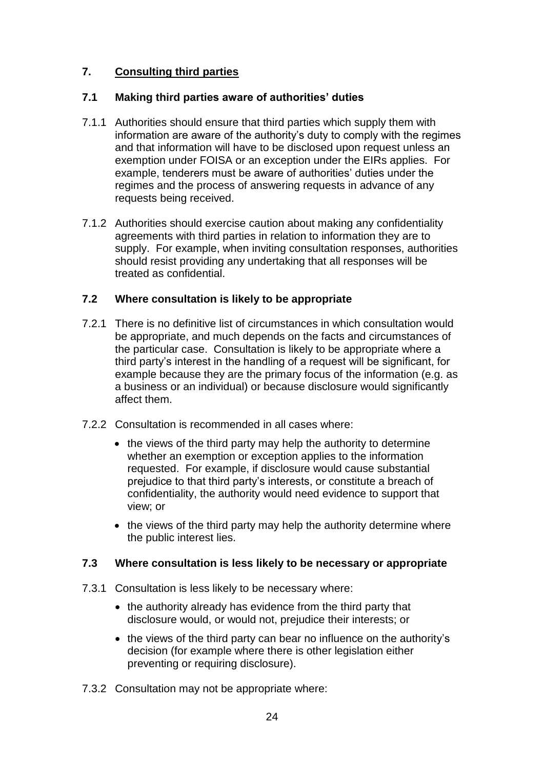# **7. Consulting third parties**

### **7.1 Making third parties aware of authorities' duties**

- 7.1.1 Authorities should ensure that third parties which supply them with information are aware of the authority's duty to comply with the regimes and that information will have to be disclosed upon request unless an exemption under FOISA or an exception under the EIRs applies. For example, tenderers must be aware of authorities' duties under the regimes and the process of answering requests in advance of any requests being received.
- 7.1.2 Authorities should exercise caution about making any confidentiality agreements with third parties in relation to information they are to supply. For example, when inviting consultation responses, authorities should resist providing any undertaking that all responses will be treated as confidential.

### **7.2 Where consultation is likely to be appropriate**

- 7.2.1 There is no definitive list of circumstances in which consultation would be appropriate, and much depends on the facts and circumstances of the particular case. Consultation is likely to be appropriate where a third party's interest in the handling of a request will be significant, for example because they are the primary focus of the information (e.g. as a business or an individual) or because disclosure would significantly affect them.
- 7.2.2 Consultation is recommended in all cases where:
	- the views of the third party may help the authority to determine whether an exemption or exception applies to the information requested. For example, if disclosure would cause substantial prejudice to that third party's interests, or constitute a breach of confidentiality, the authority would need evidence to support that view; or
	- the views of the third party may help the authority determine where the public interest lies.

## **7.3 Where consultation is less likely to be necessary or appropriate**

- 7.3.1 Consultation is less likely to be necessary where:
	- the authority already has evidence from the third party that disclosure would, or would not, prejudice their interests; or
	- the views of the third party can bear no influence on the authority's decision (for example where there is other legislation either preventing or requiring disclosure).
- 7.3.2 Consultation may not be appropriate where: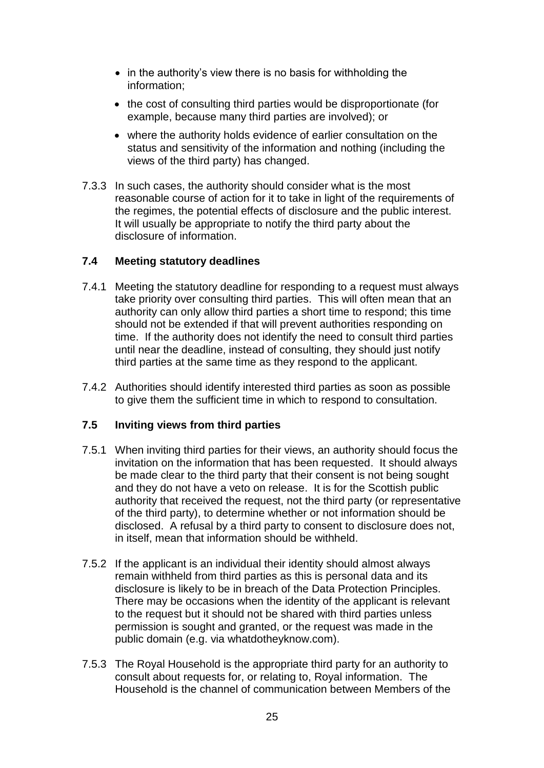- in the authority's view there is no basis for withholding the information;
- the cost of consulting third parties would be disproportionate (for example, because many third parties are involved); or
- where the authority holds evidence of earlier consultation on the status and sensitivity of the information and nothing (including the views of the third party) has changed.
- 7.3.3 In such cases, the authority should consider what is the most reasonable course of action for it to take in light of the requirements of the regimes, the potential effects of disclosure and the public interest. It will usually be appropriate to notify the third party about the disclosure of information.

### **7.4 Meeting statutory deadlines**

- 7.4.1 Meeting the statutory deadline for responding to a request must always take priority over consulting third parties. This will often mean that an authority can only allow third parties a short time to respond; this time should not be extended if that will prevent authorities responding on time. If the authority does not identify the need to consult third parties until near the deadline, instead of consulting, they should just notify third parties at the same time as they respond to the applicant.
- 7.4.2 Authorities should identify interested third parties as soon as possible to give them the sufficient time in which to respond to consultation.

## **7.5 Inviting views from third parties**

- 7.5.1 When inviting third parties for their views, an authority should focus the invitation on the information that has been requested. It should always be made clear to the third party that their consent is not being sought and they do not have a veto on release. It is for the Scottish public authority that received the request, not the third party (or representative of the third party), to determine whether or not information should be disclosed. A refusal by a third party to consent to disclosure does not, in itself, mean that information should be withheld.
- 7.5.2 If the applicant is an individual their identity should almost always remain withheld from third parties as this is personal data and its disclosure is likely to be in breach of the Data Protection Principles. There may be occasions when the identity of the applicant is relevant to the request but it should not be shared with third parties unless permission is sought and granted, or the request was made in the public domain (e.g. via whatdotheyknow.com).
- 7.5.3 The Royal Household is the appropriate third party for an authority to consult about requests for, or relating to, Royal information. The Household is the channel of communication between Members of the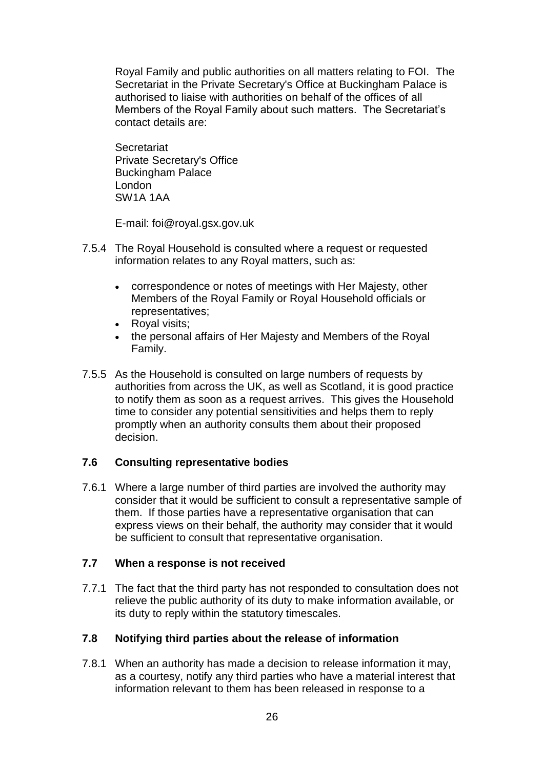Royal Family and public authorities on all matters relating to FOI. The Secretariat in the Private Secretary's Office at Buckingham Palace is authorised to liaise with authorities on behalf of the offices of all Members of the Royal Family about such matters. The Secretariat's contact details are:

**Secretariat** Private Secretary's Office Buckingham Palace London SW1A 1AA

E-mail: foi@royal.gsx.gov.uk

- 7.5.4 The Royal Household is consulted where a request or requested information relates to any Royal matters, such as:
	- correspondence or notes of meetings with Her Majesty, other Members of the Royal Family or Royal Household officials or representatives;
	- Royal visits;
	- the personal affairs of Her Majesty and Members of the Royal Family.
- 7.5.5 As the Household is consulted on large numbers of requests by authorities from across the UK, as well as Scotland, it is good practice to notify them as soon as a request arrives. This gives the Household time to consider any potential sensitivities and helps them to reply promptly when an authority consults them about their proposed decision.

# **7.6 Consulting representative bodies**

7.6.1 Where a large number of third parties are involved the authority may consider that it would be sufficient to consult a representative sample of them. If those parties have a representative organisation that can express views on their behalf, the authority may consider that it would be sufficient to consult that representative organisation.

## **7.7 When a response is not received**

7.7.1 The fact that the third party has not responded to consultation does not relieve the public authority of its duty to make information available, or its duty to reply within the statutory timescales.

# **7.8 Notifying third parties about the release of information**

7.8.1 When an authority has made a decision to release information it may, as a courtesy, notify any third parties who have a material interest that information relevant to them has been released in response to a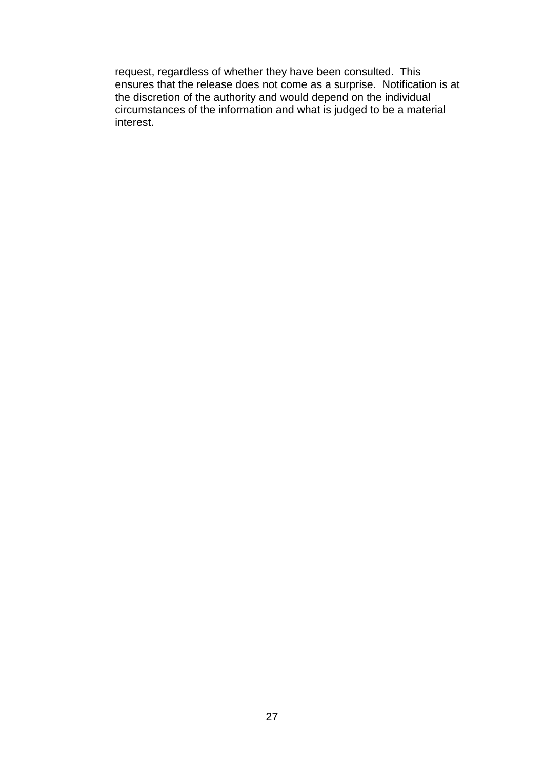request, regardless of whether they have been consulted. This ensures that the release does not come as a surprise. Notification is at the discretion of the authority and would depend on the individual circumstances of the information and what is judged to be a material interest.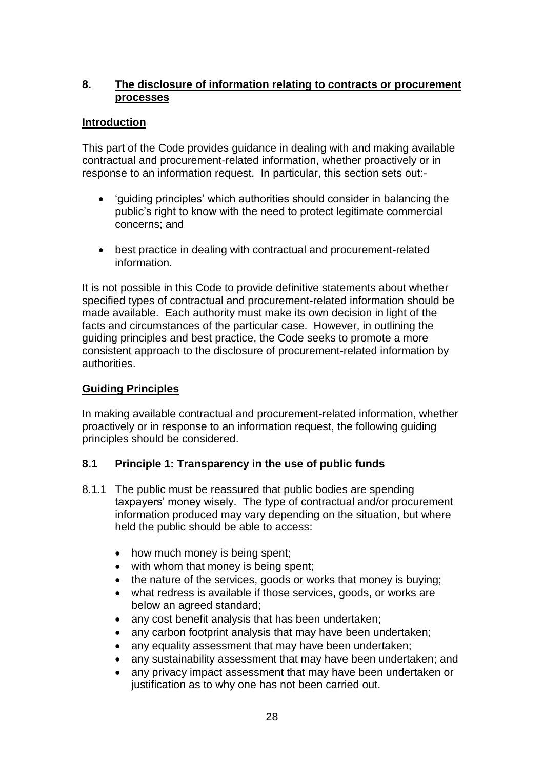### <span id="page-27-0"></span>**8. The disclosure of information relating to contracts or procurement processes**

### **Introduction**

This part of the Code provides guidance in dealing with and making available contractual and procurement-related information, whether proactively or in response to an information request. In particular, this section sets out:-

- 'guiding principles' which authorities should consider in balancing the public's right to know with the need to protect legitimate commercial concerns; and
- best practice in dealing with contractual and procurement-related information.

It is not possible in this Code to provide definitive statements about whether specified types of contractual and procurement-related information should be made available. Each authority must make its own decision in light of the facts and circumstances of the particular case. However, in outlining the guiding principles and best practice, the Code seeks to promote a more consistent approach to the disclosure of procurement-related information by authorities.

### **Guiding Principles**

In making available contractual and procurement-related information, whether proactively or in response to an information request, the following guiding principles should be considered.

## **8.1 Principle 1: Transparency in the use of public funds**

- 8.1.1 The public must be reassured that public bodies are spending taxpayers' money wisely. The type of contractual and/or procurement information produced may vary depending on the situation, but where held the public should be able to access:
	- how much money is being spent;
	- with whom that money is being spent;
	- the nature of the services, goods or works that money is buying;
	- what redress is available if those services, goods, or works are below an agreed standard;
	- any cost benefit analysis that has been undertaken;
	- any carbon footprint analysis that may have been undertaken;
	- any equality assessment that may have been undertaken:
	- any sustainability assessment that may have been undertaken; and
	- any privacy impact assessment that may have been undertaken or justification as to why one has not been carried out.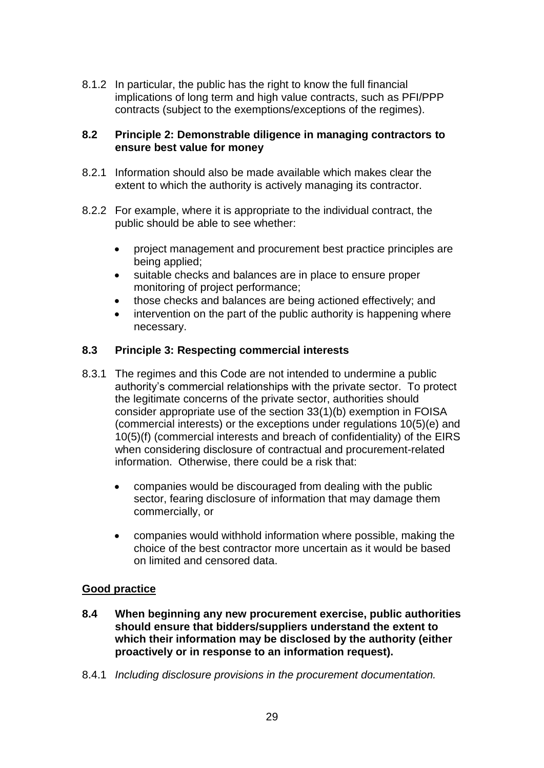8.1.2 In particular, the public has the right to know the full financial implications of long term and high value contracts, such as PFI/PPP contracts (subject to the exemptions/exceptions of the regimes).

#### **8.2 Principle 2: Demonstrable diligence in managing contractors to ensure best value for money**

- 8.2.1 Information should also be made available which makes clear the extent to which the authority is actively managing its contractor.
- 8.2.2 For example, where it is appropriate to the individual contract, the public should be able to see whether:
	- project management and procurement best practice principles are being applied;
	- suitable checks and balances are in place to ensure proper monitoring of project performance;
	- those checks and balances are being actioned effectively; and
	- intervention on the part of the public authority is happening where necessary.

### **8.3 Principle 3: Respecting commercial interests**

- 8.3.1 The regimes and this Code are not intended to undermine a public authority's commercial relationships with the private sector. To protect the legitimate concerns of the private sector, authorities should consider appropriate use of the section 33(1)(b) exemption in FOISA (commercial interests) or the exceptions under regulations 10(5)(e) and 10(5)(f) (commercial interests and breach of confidentiality) of the EIRS when considering disclosure of contractual and procurement-related information. Otherwise, there could be a risk that:
	- companies would be discouraged from dealing with the public sector, fearing disclosure of information that may damage them commercially, or
	- companies would withhold information where possible, making the choice of the best contractor more uncertain as it would be based on limited and censored data.

#### **Good practice**

- **8.4 When beginning any new procurement exercise, public authorities should ensure that bidders/suppliers understand the extent to which their information may be disclosed by the authority (either proactively or in response to an information request).**
- 8.4.1 *Including disclosure provisions in the procurement documentation.*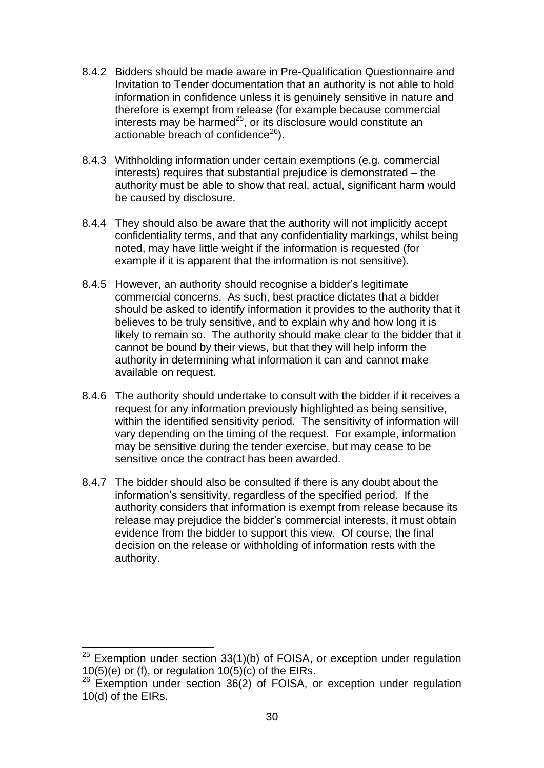- 8.4.2 Bidders should be made aware in Pre-Qualification Questionnaire and Invitation to Tender documentation that an authority is not able to hold information in confidence unless it is genuinely sensitive in nature and therefore is exempt from release (for example because commercial interests may be harmed $^{25}$ , or its disclosure would constitute an actionable breach of confidence $^{26}$ ).
- 8.4.3 Withholding information under certain exemptions (e.g. commercial interests) requires that substantial prejudice is demonstrated – the authority must be able to show that real, actual, significant harm would be caused by disclosure.
- 8.4.4 They should also be aware that the authority will not implicitly accept confidentiality terms, and that any confidentiality markings, whilst being noted, may have little weight if the information is requested (for example if it is apparent that the information is not sensitive).
- 8.4.5 However, an authority should recognise a bidder's legitimate commercial concerns. As such, best practice dictates that a bidder should be asked to identify information it provides to the authority that it believes to be truly sensitive, and to explain why and how long it is likely to remain so. The authority should make clear to the bidder that it cannot be bound by their views, but that they will help inform the authority in determining what information it can and cannot make available on request.
- 8.4.6 The authority should undertake to consult with the bidder if it receives a request for any information previously highlighted as being sensitive, within the identified sensitivity period. The sensitivity of information will vary depending on the timing of the request. For example, information may be sensitive during the tender exercise, but may cease to be sensitive once the contract has been awarded.
- 8.4.7 The bidder should also be consulted if there is any doubt about the information's sensitivity, regardless of the specified period. If the authority considers that information is exempt from release because its release may prejudice the bidder's commercial interests, it must obtain evidence from the bidder to support this view. Of course, the final decision on the release or withholding of information rests with the authority.

 $25$  Exemption under section 33(1)(b) of FOISA, or exception under regulation  $10(5)(e)$  or (f), or regulation  $10(5)(c)$  of the EIRs.

 $26$  Exemption under section  $36(2)$  of FOISA, or exception under regulation 10(d) of the EIRs.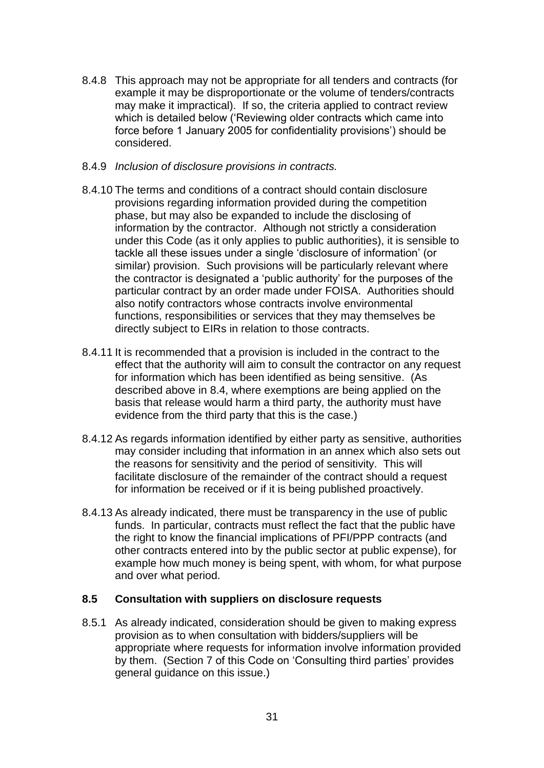- 8.4.8 This approach may not be appropriate for all tenders and contracts (for example it may be disproportionate or the volume of tenders/contracts may make it impractical). If so, the criteria applied to contract review which is detailed below ('Reviewing older contracts which came into force before 1 January 2005 for confidentiality provisions') should be considered.
- 8.4.9 *Inclusion of disclosure provisions in contracts.*
- 8.4.10 The terms and conditions of a contract should contain disclosure provisions regarding information provided during the competition phase, but may also be expanded to include the disclosing of information by the contractor. Although not strictly a consideration under this Code (as it only applies to public authorities), it is sensible to tackle all these issues under a single 'disclosure of information' (or similar) provision. Such provisions will be particularly relevant where the contractor is designated a 'public authority' for the purposes of the particular contract by an order made under FOISA. Authorities should also notify contractors whose contracts involve environmental functions, responsibilities or services that they may themselves be directly subject to EIRs in relation to those contracts.
- 8.4.11 It is recommended that a provision is included in the contract to the effect that the authority will aim to consult the contractor on any request for information which has been identified as being sensitive. (As described above in 8.4, where exemptions are being applied on the basis that release would harm a third party, the authority must have evidence from the third party that this is the case.)
- 8.4.12 As regards information identified by either party as sensitive, authorities may consider including that information in an annex which also sets out the reasons for sensitivity and the period of sensitivity. This will facilitate disclosure of the remainder of the contract should a request for information be received or if it is being published proactively.
- 8.4.13 As already indicated, there must be transparency in the use of public funds. In particular, contracts must reflect the fact that the public have the right to know the financial implications of PFI/PPP contracts (and other contracts entered into by the public sector at public expense), for example how much money is being spent, with whom, for what purpose and over what period.

#### **8.5 Consultation with suppliers on disclosure requests**

8.5.1 As already indicated, consideration should be given to making express provision as to when consultation with bidders/suppliers will be appropriate where requests for information involve information provided by them. (Section 7 of this Code on 'Consulting third parties' provides general guidance on this issue.)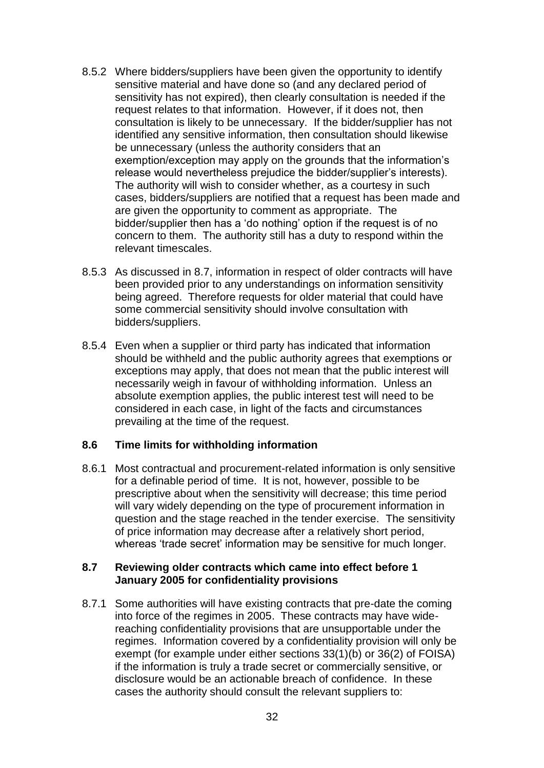- 8.5.2 Where bidders/suppliers have been given the opportunity to identify sensitive material and have done so (and any declared period of sensitivity has not expired), then clearly consultation is needed if the request relates to that information. However, if it does not, then consultation is likely to be unnecessary. If the bidder/supplier has not identified any sensitive information, then consultation should likewise be unnecessary (unless the authority considers that an exemption/exception may apply on the grounds that the information's release would nevertheless prejudice the bidder/supplier's interests). The authority will wish to consider whether, as a courtesy in such cases, bidders/suppliers are notified that a request has been made and are given the opportunity to comment as appropriate. The bidder/supplier then has a 'do nothing' option if the request is of no concern to them. The authority still has a duty to respond within the relevant timescales.
- 8.5.3 As discussed in 8.7, information in respect of older contracts will have been provided prior to any understandings on information sensitivity being agreed. Therefore requests for older material that could have some commercial sensitivity should involve consultation with bidders/suppliers.
- 8.5.4 Even when a supplier or third party has indicated that information should be withheld and the public authority agrees that exemptions or exceptions may apply, that does not mean that the public interest will necessarily weigh in favour of withholding information. Unless an absolute exemption applies, the public interest test will need to be considered in each case, in light of the facts and circumstances prevailing at the time of the request.

#### **8.6 Time limits for withholding information**

8.6.1 Most contractual and procurement-related information is only sensitive for a definable period of time. It is not, however, possible to be prescriptive about when the sensitivity will decrease; this time period will vary widely depending on the type of procurement information in question and the stage reached in the tender exercise. The sensitivity of price information may decrease after a relatively short period, whereas 'trade secret' information may be sensitive for much longer.

#### **8.7 Reviewing older contracts which came into effect before 1 January 2005 for confidentiality provisions**

8.7.1 Some authorities will have existing contracts that pre-date the coming into force of the regimes in 2005. These contracts may have widereaching confidentiality provisions that are unsupportable under the regimes. Information covered by a confidentiality provision will only be exempt (for example under either sections 33(1)(b) or 36(2) of FOISA) if the information is truly a trade secret or commercially sensitive, or disclosure would be an actionable breach of confidence. In these cases the authority should consult the relevant suppliers to: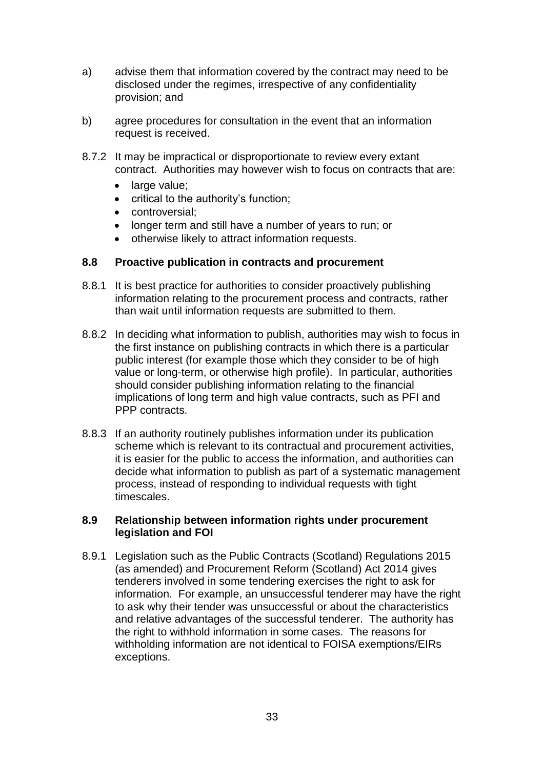- a) advise them that information covered by the contract may need to be disclosed under the regimes, irrespective of any confidentiality provision; and
- b) agree procedures for consultation in the event that an information request is received.
- 8.7.2 It may be impractical or disproportionate to review every extant contract. Authorities may however wish to focus on contracts that are:
	- large value;
	- critical to the authority's function:
	- controversial:
	- longer term and still have a number of years to run; or
	- otherwise likely to attract information requests.

#### **8.8 Proactive publication in contracts and procurement**

- 8.8.1 It is best practice for authorities to consider proactively publishing information relating to the procurement process and contracts, rather than wait until information requests are submitted to them.
- 8.8.2 In deciding what information to publish, authorities may wish to focus in the first instance on publishing contracts in which there is a particular public interest (for example those which they consider to be of high value or long-term, or otherwise high profile). In particular, authorities should consider publishing information relating to the financial implications of long term and high value contracts, such as PFI and PPP contracts.
- 8.8.3 If an authority routinely publishes information under its publication scheme which is relevant to its contractual and procurement activities, it is easier for the public to access the information, and authorities can decide what information to publish as part of a systematic management process, instead of responding to individual requests with tight timescales.

#### **8.9 Relationship between information rights under procurement legislation and FOI**

8.9.1 Legislation such as the Public Contracts (Scotland) Regulations 2015 (as amended) and Procurement Reform (Scotland) Act 2014 gives tenderers involved in some tendering exercises the right to ask for information. For example, an unsuccessful tenderer may have the right to ask why their tender was unsuccessful or about the characteristics and relative advantages of the successful tenderer. The authority has the right to withhold information in some cases. The reasons for withholding information are not identical to FOISA exemptions/EIRs exceptions.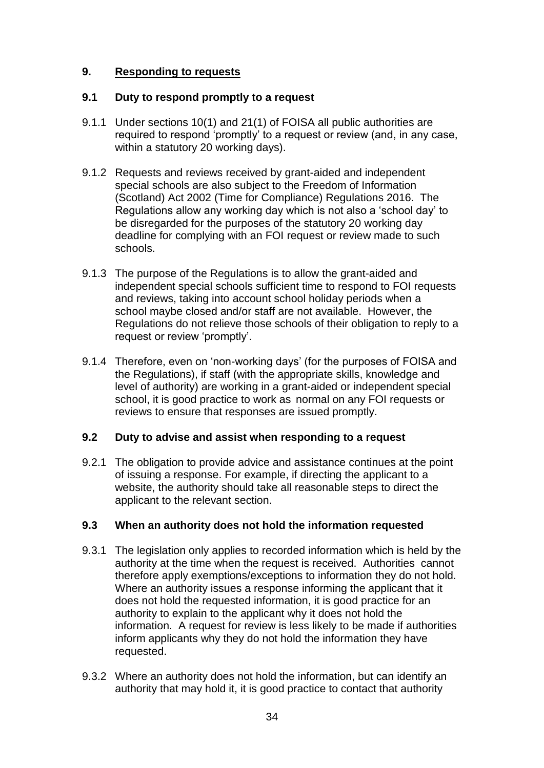# <span id="page-33-0"></span>**9. Responding to requests**

### **9.1 Duty to respond promptly to a request**

- 9.1.1 Under sections 10(1) and 21(1) of FOISA all public authorities are required to respond 'promptly' to a request or review (and, in any case, within a statutory 20 working days).
- 9.1.2 Requests and reviews received by grant-aided and independent special schools are also subject to the Freedom of Information (Scotland) Act 2002 (Time for Compliance) Regulations 2016. The Regulations allow any working day which is not also a 'school day' to be disregarded for the purposes of the statutory 20 working day deadline for complying with an FOI request or review made to such schools.
- 9.1.3 The purpose of the Regulations is to allow the grant-aided and independent special schools sufficient time to respond to FOI requests and reviews, taking into account school holiday periods when a school maybe closed and/or staff are not available. However, the Regulations do not relieve those schools of their obligation to reply to a request or review 'promptly'.
- 9.1.4 Therefore, even on 'non-working days' (for the purposes of FOISA and the Regulations), if staff (with the appropriate skills, knowledge and level of authority) are working in a grant-aided or independent special school, it is good practice to work as normal on any FOI requests or reviews to ensure that responses are issued promptly.

## **9.2 Duty to advise and assist when responding to a request**

9.2.1 The obligation to provide advice and assistance continues at the point of issuing a response. For example, if directing the applicant to a website, the authority should take all reasonable steps to direct the applicant to the relevant section.

## **9.3 When an authority does not hold the information requested**

- 9.3.1 The legislation only applies to recorded information which is held by the authority at the time when the request is received. Authorities cannot therefore apply exemptions/exceptions to information they do not hold. Where an authority issues a response informing the applicant that it does not hold the requested information, it is good practice for an authority to explain to the applicant why it does not hold the information. A request for review is less likely to be made if authorities inform applicants why they do not hold the information they have requested.
- 9.3.2 Where an authority does not hold the information, but can identify an authority that may hold it, it is good practice to contact that authority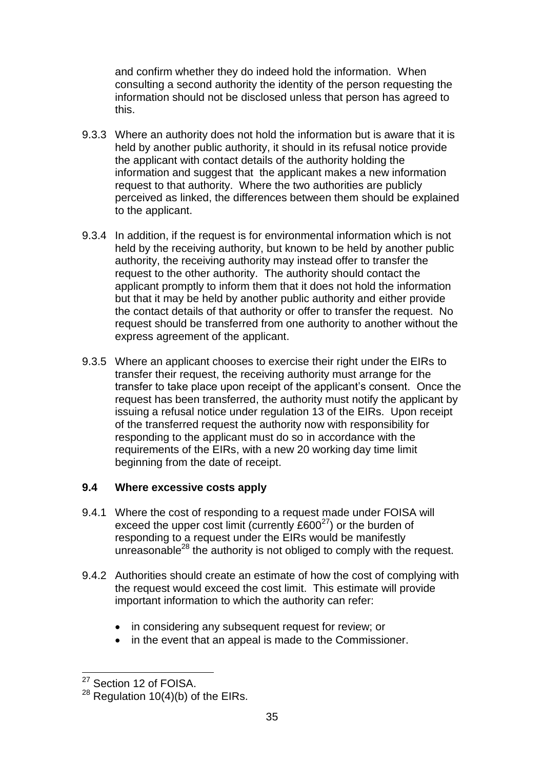and confirm whether they do indeed hold the information. When consulting a second authority the identity of the person requesting the information should not be disclosed unless that person has agreed to this.

- 9.3.3 Where an authority does not hold the information but is aware that it is held by another public authority, it should in its refusal notice provide the applicant with contact details of the authority holding the information and suggest that the applicant makes a new information request to that authority. Where the two authorities are publicly perceived as linked, the differences between them should be explained to the applicant.
- 9.3.4 In addition, if the request is for environmental information which is not held by the receiving authority, but known to be held by another public authority, the receiving authority may instead offer to transfer the request to the other authority. The authority should contact the applicant promptly to inform them that it does not hold the information but that it may be held by another public authority and either provide the contact details of that authority or offer to transfer the request. No request should be transferred from one authority to another without the express agreement of the applicant.
- 9.3.5 Where an applicant chooses to exercise their right under the EIRs to transfer their request, the receiving authority must arrange for the transfer to take place upon receipt of the applicant's consent. Once the request has been transferred, the authority must notify the applicant by issuing a refusal notice under regulation 13 of the EIRs. Upon receipt of the transferred request the authority now with responsibility for responding to the applicant must do so in accordance with the requirements of the EIRs, with a new 20 working day time limit beginning from the date of receipt.

## **9.4 Where excessive costs apply**

- 9.4.1 Where the cost of responding to a request made under FOISA will exceed the upper cost limit (currently  $£600<sup>27</sup>$ ) or the burden of responding to a request under the EIRs would be manifestly unreasonable<sup>28</sup> the authority is not obliged to comply with the request.
- 9.4.2 Authorities should create an estimate of how the cost of complying with the request would exceed the cost limit. This estimate will provide important information to which the authority can refer:
	- in considering any subsequent request for review; or
	- in the event that an appeal is made to the Commissioner.

<sup>&</sup>lt;sup>27</sup> Section 12 of FOISA.

 $28$  Regulation 10(4)(b) of the EIRs.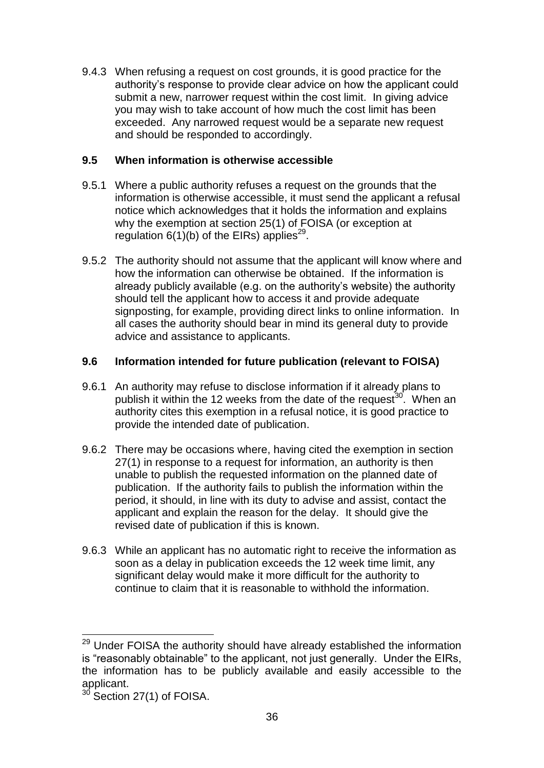9.4.3 When refusing a request on cost grounds, it is good practice for the authority's response to provide clear advice on how the applicant could submit a new, narrower request within the cost limit. In giving advice you may wish to take account of how much the cost limit has been exceeded. Any narrowed request would be a separate new request and should be responded to accordingly.

## **9.5 When information is otherwise accessible**

- 9.5.1 Where a public authority refuses a request on the grounds that the information is otherwise accessible, it must send the applicant a refusal notice which acknowledges that it holds the information and explains why the exemption at section 25(1) of FOISA (or exception at regulation  $6(1)(b)$  of the EIRs) applies<sup>29</sup>.
- 9.5.2 The authority should not assume that the applicant will know where and how the information can otherwise be obtained. If the information is already publicly available (e.g. on the authority's website) the authority should tell the applicant how to access it and provide adequate signposting, for example, providing direct links to online information. In all cases the authority should bear in mind its general duty to provide advice and assistance to applicants.

## **9.6 Information intended for future publication (relevant to FOISA)**

- 9.6.1 An authority may refuse to disclose information if it already plans to publish it within the 12 weeks from the date of the request<sup>30</sup>. When an authority cites this exemption in a refusal notice, it is good practice to provide the intended date of publication.
- 9.6.2 There may be occasions where, having cited the exemption in section 27(1) in response to a request for information, an authority is then unable to publish the requested information on the planned date of publication. If the authority fails to publish the information within the period, it should, in line with its duty to advise and assist, contact the applicant and explain the reason for the delay. It should give the revised date of publication if this is known.
- 9.6.3 While an applicant has no automatic right to receive the information as soon as a delay in publication exceeds the 12 week time limit, any significant delay would make it more difficult for the authority to continue to claim that it is reasonable to withhold the information.

 $29$  Under FOISA the authority should have already established the information is "reasonably obtainable" to the applicant, not just generally. Under the EIRs, the information has to be publicly available and easily accessible to the applicant.

 $30$  Section 27(1) of FOISA.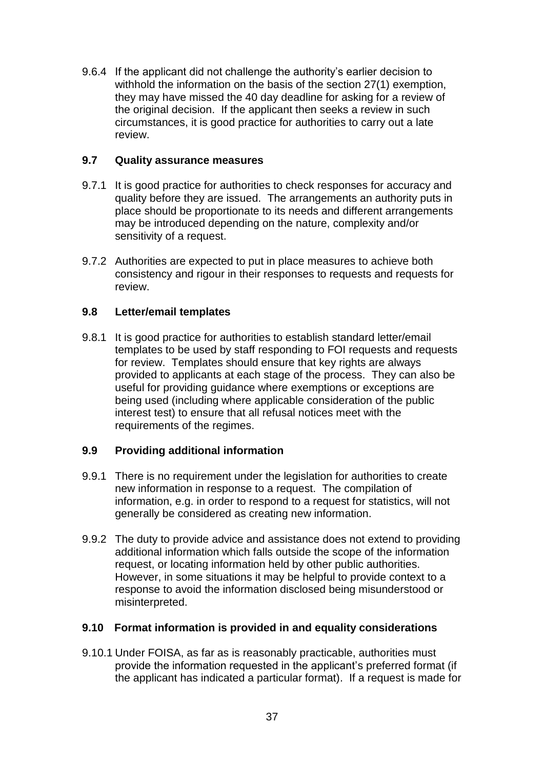9.6.4 If the applicant did not challenge the authority's earlier decision to withhold the information on the basis of the section 27(1) exemption, they may have missed the 40 day deadline for asking for a review of the original decision. If the applicant then seeks a review in such circumstances, it is good practice for authorities to carry out a late review.

### **9.7 Quality assurance measures**

- 9.7.1 It is good practice for authorities to check responses for accuracy and quality before they are issued. The arrangements an authority puts in place should be proportionate to its needs and different arrangements may be introduced depending on the nature, complexity and/or sensitivity of a request.
- 9.7.2 Authorities are expected to put in place measures to achieve both consistency and rigour in their responses to requests and requests for review.

## **9.8 Letter/email templates**

9.8.1 It is good practice for authorities to establish standard letter/email templates to be used by staff responding to FOI requests and requests for review. Templates should ensure that key rights are always provided to applicants at each stage of the process. They can also be useful for providing guidance where exemptions or exceptions are being used (including where applicable consideration of the public interest test) to ensure that all refusal notices meet with the requirements of the regimes.

## **9.9 Providing additional information**

- 9.9.1 There is no requirement under the legislation for authorities to create new information in response to a request. The compilation of information, e.g. in order to respond to a request for statistics, will not generally be considered as creating new information.
- 9.9.2 The duty to provide advice and assistance does not extend to providing additional information which falls outside the scope of the information request, or locating information held by other public authorities. However, in some situations it may be helpful to provide context to a response to avoid the information disclosed being misunderstood or misinterpreted.

#### **9.10 Format information is provided in and equality considerations**

9.10.1 Under FOISA, as far as is reasonably practicable, authorities must provide the information requested in the applicant's preferred format (if the applicant has indicated a particular format). If a request is made for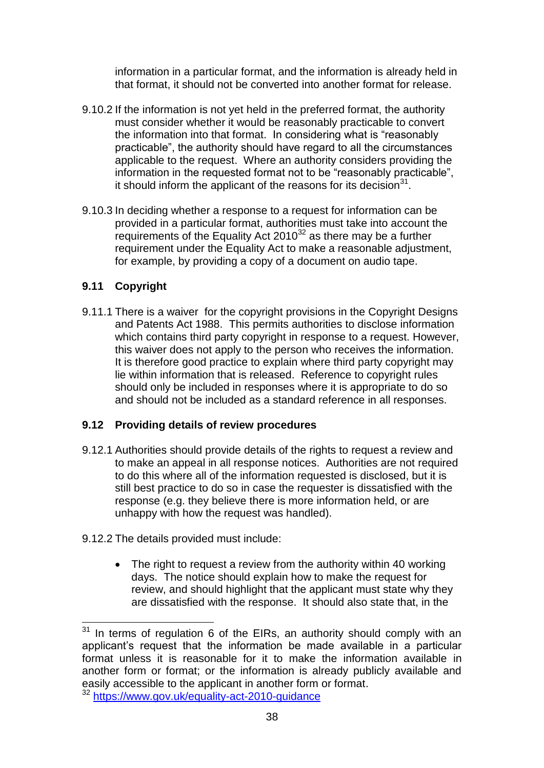information in a particular format, and the information is already held in that format, it should not be converted into another format for release.

- 9.10.2 If the information is not yet held in the preferred format, the authority must consider whether it would be reasonably practicable to convert the information into that format. In considering what is "reasonably practicable", the authority should have regard to all the circumstances applicable to the request. Where an authority considers providing the information in the requested format not to be "reasonably practicable", it should inform the applicant of the reasons for its decision $31$ .
- 9.10.3 In deciding whether a response to a request for information can be provided in a particular format, authorities must take into account the requirements of the Equality Act  $2010^{32}$  as there may be a further requirement under the Equality Act to make a reasonable adjustment, for example, by providing a copy of a document on audio tape.

## **9.11 Copyright**

9.11.1 There is a waiver for the copyright provisions in the Copyright Designs and Patents Act 1988. This permits authorities to disclose information which contains third party copyright in response to a request. However, this waiver does not apply to the person who receives the information. It is therefore good practice to explain where third party copyright may lie within information that is released. Reference to copyright rules should only be included in responses where it is appropriate to do so and should not be included as a standard reference in all responses.

## **9.12 Providing details of review procedures**

- 9.12.1 Authorities should provide details of the rights to request a review and to make an appeal in all response notices. Authorities are not required to do this where all of the information requested is disclosed, but it is still best practice to do so in case the requester is dissatisfied with the response (e.g. they believe there is more information held, or are unhappy with how the request was handled).
- 9.12.2 The details provided must include:
	- The right to request a review from the authority within 40 working days. The notice should explain how to make the request for review, and should highlight that the applicant must state why they are dissatisfied with the response. It should also state that, in the

 $\overline{a}$  $31$  In terms of regulation 6 of the EIRs, an authority should comply with an applicant's request that the information be made available in a particular format unless it is reasonable for it to make the information available in another form or format; or the information is already publicly available and easily accessible to the applicant in another form or format.

<sup>32</sup> <https://www.gov.uk/equality-act-2010-guidance>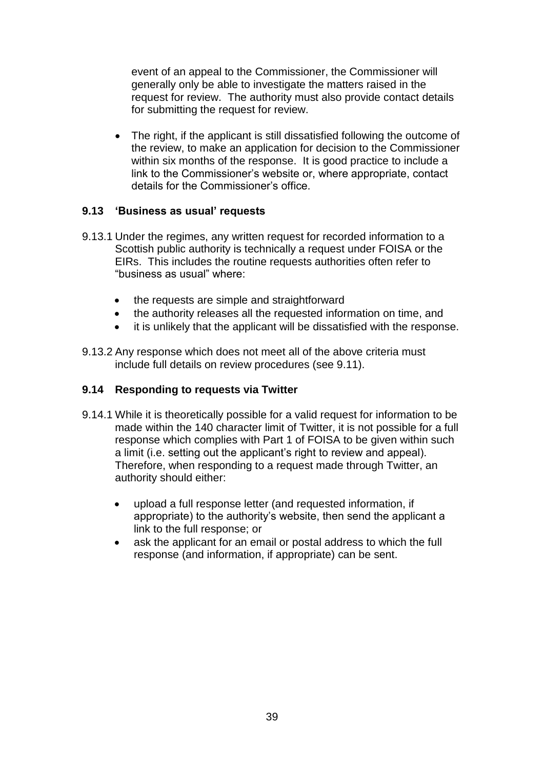event of an appeal to the Commissioner, the Commissioner will generally only be able to investigate the matters raised in the request for review. The authority must also provide contact details for submitting the request for review.

• The right, if the applicant is still dissatisfied following the outcome of the review, to make an application for decision to the Commissioner within six months of the response. It is good practice to include a link to the Commissioner's website or, where appropriate, contact details for the Commissioner's office.

### **9.13 'Business as usual' requests**

- 9.13.1 Under the regimes, any written request for recorded information to a Scottish public authority is technically a request under FOISA or the EIRs. This includes the routine requests authorities often refer to "business as usual" where:
	- the requests are simple and straightforward
	- the authority releases all the requested information on time, and
	- it is unlikely that the applicant will be dissatisfied with the response.
- 9.13.2 Any response which does not meet all of the above criteria must include full details on review procedures (see 9.11).

### **9.14 Responding to requests via Twitter**

- 9.14.1 While it is theoretically possible for a valid request for information to be made within the 140 character limit of Twitter, it is not possible for a full response which complies with Part 1 of FOISA to be given within such a limit (i.e. setting out the applicant's right to review and appeal). Therefore, when responding to a request made through Twitter, an authority should either:
	- upload a full response letter (and requested information, if appropriate) to the authority's website, then send the applicant a link to the full response; or
	- ask the applicant for an email or postal address to which the full response (and information, if appropriate) can be sent.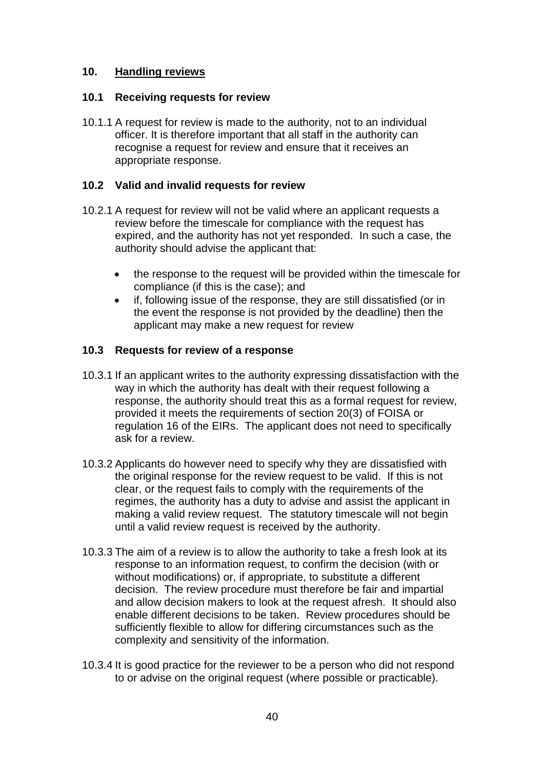## <span id="page-39-0"></span>**10. Handling reviews**

### **10.1 Receiving requests for review**

10.1.1 A request for review is made to the authority, not to an individual officer. It is therefore important that all staff in the authority can recognise a request for review and ensure that it receives an appropriate response.

# **10.2 Valid and invalid requests for review**

- 10.2.1 A request for review will not be valid where an applicant requests a review before the timescale for compliance with the request has expired, and the authority has not yet responded. In such a case, the authority should advise the applicant that:
	- the response to the request will be provided within the timescale for compliance (if this is the case); and
	- if, following issue of the response, they are still dissatisfied (or in the event the response is not provided by the deadline) then the applicant may make a new request for review

## **10.3 Requests for review of a response**

- 10.3.1 If an applicant writes to the authority expressing dissatisfaction with the way in which the authority has dealt with their request following a response, the authority should treat this as a formal request for review, provided it meets the requirements of section 20(3) of FOISA or regulation 16 of the EIRs. The applicant does not need to specifically ask for a review.
- 10.3.2 Applicants do however need to specify why they are dissatisfied with the original response for the review request to be valid. If this is not clear, or the request fails to comply with the requirements of the regimes, the authority has a duty to advise and assist the applicant in making a valid review request. The statutory timescale will not begin until a valid review request is received by the authority.
- 10.3.3 The aim of a review is to allow the authority to take a fresh look at its response to an information request, to confirm the decision (with or without modifications) or, if appropriate, to substitute a different decision. The review procedure must therefore be fair and impartial and allow decision makers to look at the request afresh. It should also enable different decisions to be taken. Review procedures should be sufficiently flexible to allow for differing circumstances such as the complexity and sensitivity of the information.
- 10.3.4 It is good practice for the reviewer to be a person who did not respond to or advise on the original request (where possible or practicable).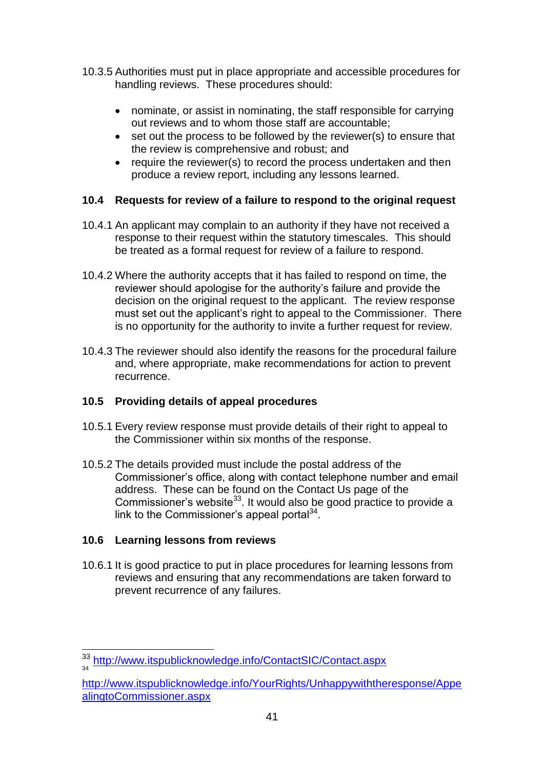- 10.3.5 Authorities must put in place appropriate and accessible procedures for handling reviews. These procedures should:
	- nominate, or assist in nominating, the staff responsible for carrying out reviews and to whom those staff are accountable;
	- set out the process to be followed by the reviewer(s) to ensure that the review is comprehensive and robust; and
	- require the reviewer(s) to record the process undertaken and then produce a review report, including any lessons learned.

## **10.4 Requests for review of a failure to respond to the original request**

- 10.4.1 An applicant may complain to an authority if they have not received a response to their request within the statutory timescales. This should be treated as a formal request for review of a failure to respond.
- 10.4.2 Where the authority accepts that it has failed to respond on time, the reviewer should apologise for the authority's failure and provide the decision on the original request to the applicant. The review response must set out the applicant's right to appeal to the Commissioner. There is no opportunity for the authority to invite a further request for review.
- 10.4.3 The reviewer should also identify the reasons for the procedural failure and, where appropriate, make recommendations for action to prevent recurrence.

## **10.5 Providing details of appeal procedures**

- 10.5.1 Every review response must provide details of their right to appeal to the Commissioner within six months of the response.
- 10.5.2 The details provided must include the postal address of the Commissioner's office, along with contact telephone number and email address. These can be found on the Contact Us page of the Commissioner's website $^{33}$ . It would also be good practice to provide a link to the Commissioner's appeal portal $^{34}$ .

# **10.6 Learning lessons from reviews**

10.6.1 It is good practice to put in place procedures for learning lessons from reviews and ensuring that any recommendations are taken forward to prevent recurrence of any failures.

 $\overline{a}$ <sup>33</sup> <http://www.itspublicknowledge.info/ContactSIC/Contact.aspx> 34

[http://www.itspublicknowledge.info/YourRights/Unhappywiththeresponse/Appe](http://www.itspublicknowledge.info/YourRights/Unhappywiththeresponse/AppealingtoCommissioner.aspx) [alingtoCommissioner.aspx](http://www.itspublicknowledge.info/YourRights/Unhappywiththeresponse/AppealingtoCommissioner.aspx)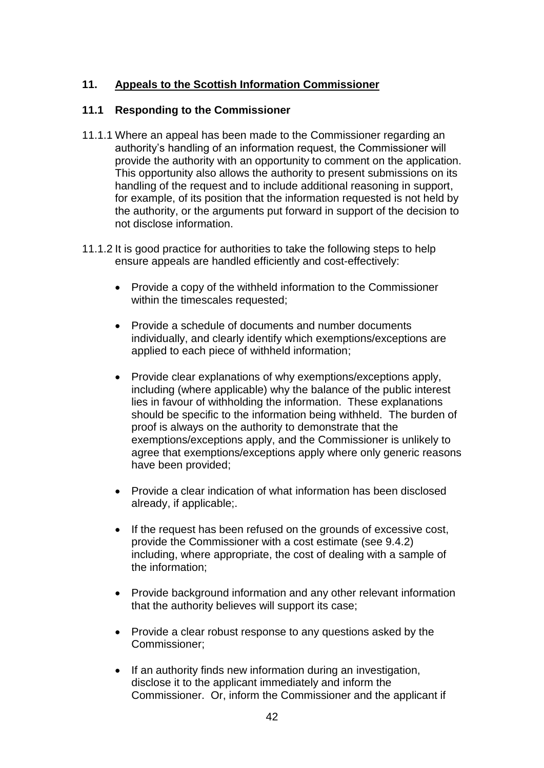## <span id="page-41-0"></span>**11. Appeals to the Scottish Information Commissioner**

### **11.1 Responding to the Commissioner**

- 11.1.1 Where an appeal has been made to the Commissioner regarding an authority's handling of an information request, the Commissioner will provide the authority with an opportunity to comment on the application. This opportunity also allows the authority to present submissions on its handling of the request and to include additional reasoning in support, for example, of its position that the information requested is not held by the authority, or the arguments put forward in support of the decision to not disclose information.
- 11.1.2 It is good practice for authorities to take the following steps to help ensure appeals are handled efficiently and cost-effectively:
	- Provide a copy of the withheld information to the Commissioner within the timescales requested;
	- Provide a schedule of documents and number documents individually, and clearly identify which exemptions/exceptions are applied to each piece of withheld information;
	- Provide clear explanations of why exemptions/exceptions apply, including (where applicable) why the balance of the public interest lies in favour of withholding the information. These explanations should be specific to the information being withheld. The burden of proof is always on the authority to demonstrate that the exemptions/exceptions apply, and the Commissioner is unlikely to agree that exemptions/exceptions apply where only generic reasons have been provided;
	- Provide a clear indication of what information has been disclosed already, if applicable;.
	- If the request has been refused on the grounds of excessive cost, provide the Commissioner with a cost estimate (see 9.4.2) including, where appropriate, the cost of dealing with a sample of the information;
	- Provide background information and any other relevant information that the authority believes will support its case;
	- Provide a clear robust response to any questions asked by the Commissioner;
	- If an authority finds new information during an investigation, disclose it to the applicant immediately and inform the Commissioner. Or, inform the Commissioner and the applicant if